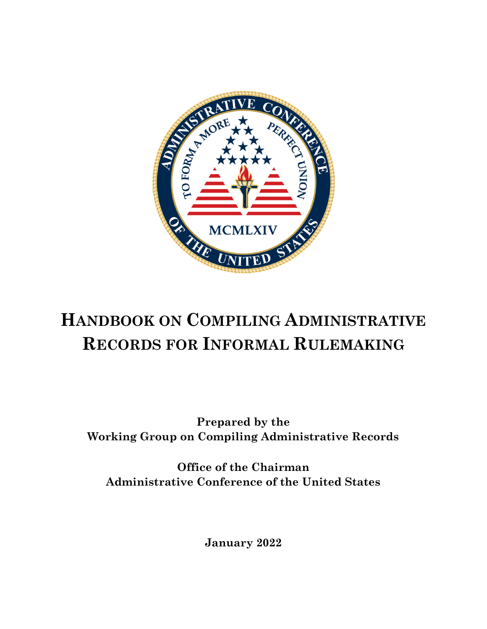

# **HANDBOOK ON COMPILING ADMINISTRATIVE RECORDS FOR INFORMAL RULEMAKING**

**Prepared by the Working Group on Compiling Administrative Records**

**Office of the Chairman Administrative Conference of the United States**

**January 2022**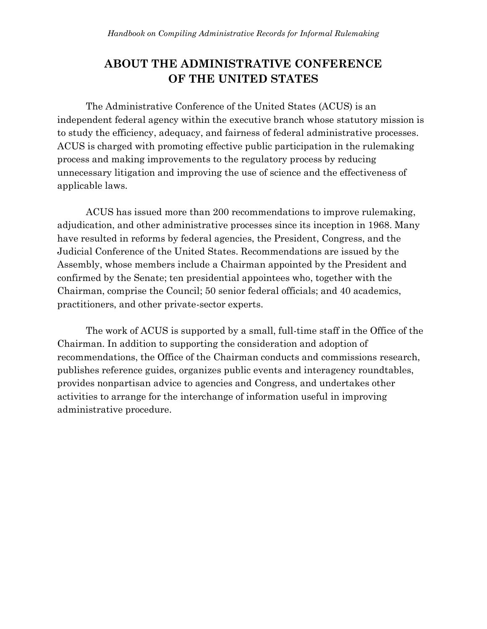#### **ABOUT THE ADMINISTRATIVE CONFERENCE OF THE UNITED STATES**

The Administrative Conference of the United States (ACUS) is an independent federal agency within the executive branch whose statutory mission is to study the efficiency, adequacy, and fairness of federal administrative processes. ACUS is charged with promoting effective public participation in the rulemaking process and making improvements to the regulatory process by reducing unnecessary litigation and improving the use of science and the effectiveness of applicable laws.

ACUS has issued more than 200 recommendations to improve rulemaking, adjudication, and other administrative processes since its inception in 1968. Many have resulted in reforms by federal agencies, the President, Congress, and the Judicial Conference of the United States. Recommendations are issued by the Assembly, whose members include a Chairman appointed by the President and confirmed by the Senate; ten presidential appointees who, together with the Chairman, comprise the Council; 50 senior federal officials; and 40 academics, practitioners, and other private-sector experts.

The work of ACUS is supported by a small, full-time staff in the Office of the Chairman. In addition to supporting the consideration and adoption of recommendations, the Office of the Chairman conducts and commissions research, publishes reference guides, organizes public events and interagency roundtables, provides nonpartisan advice to agencies and Congress, and undertakes other activities to arrange for the interchange of information useful in improving administrative procedure.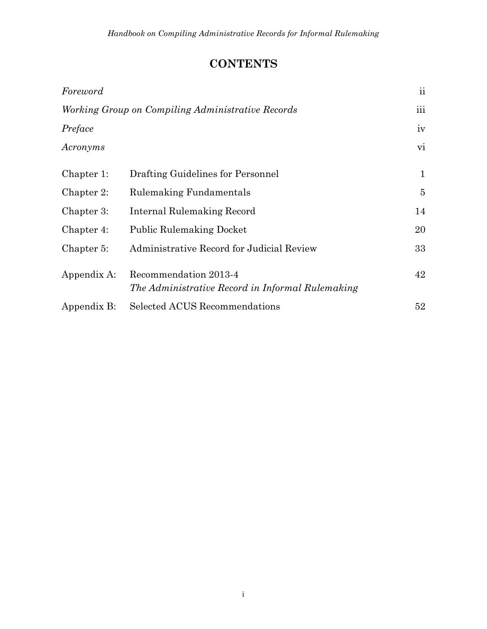# **CONTENTS**

| Foreword                                          |                                                                           | $\overline{\mathbf{u}}$ |
|---------------------------------------------------|---------------------------------------------------------------------------|-------------------------|
| Working Group on Compiling Administrative Records |                                                                           | $\overline{\text{iii}}$ |
| Preface                                           |                                                                           | iv                      |
| Acronyms                                          |                                                                           | $\rm{vi}$               |
| Chapter 1:                                        | Drafting Guidelines for Personnel                                         | 1                       |
| Chapter 2:                                        | Rulemaking Fundamentals                                                   | $\overline{5}$          |
| Chapter 3:                                        | Internal Rulemaking Record                                                | 14                      |
| Chapter 4:                                        | <b>Public Rulemaking Docket</b>                                           | 20                      |
| Chapter 5:                                        | Administrative Record for Judicial Review                                 | 33                      |
| Appendix A:                                       | Recommendation 2013-4<br>The Administrative Record in Informal Rulemaking | 42                      |
| Appendix B:                                       | Selected ACUS Recommendations                                             | 52                      |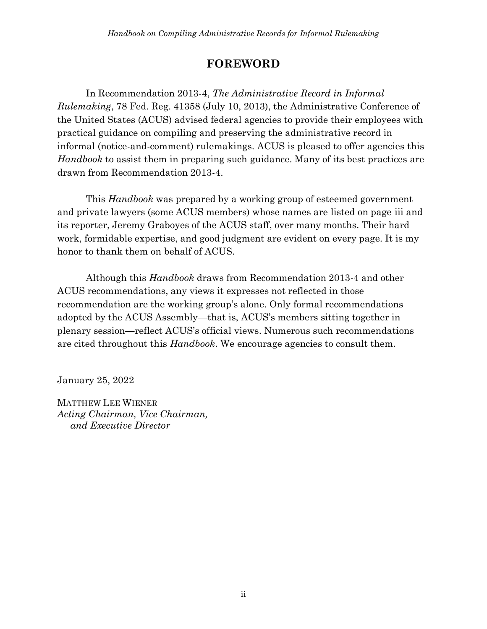#### **FOREWORD**

<span id="page-3-0"></span>In Recommendation 2013-4, *The Administrative Record in Informal Rulemaking*, 78 Fed. Reg. 41358 (July 10, 2013), the Administrative Conference of the United States (ACUS) advised federal agencies to provide their employees with practical guidance on compiling and preserving the administrative record in informal (notice-and-comment) rulemakings. ACUS is pleased to offer agencies this *Handbook* to assist them in preparing such guidance. Many of its best practices are drawn from Recommendation 2013-4.

This *Handbook* was prepared by a working group of esteemed government and private lawyers (some ACUS members) whose names are listed on page iii and its reporter, Jeremy Graboyes of the ACUS staff, over many months. Their hard work, formidable expertise, and good judgment are evident on every page. It is my honor to thank them on behalf of ACUS.

Although this *Handbook* draws from Recommendation 2013-4 and other ACUS recommendations, any views it expresses not reflected in those recommendation are the working group's alone. Only formal recommendations adopted by the ACUS Assembly—that is, ACUS's members sitting together in plenary session—reflect ACUS's official views. Numerous such recommendations are cited throughout this *Handbook*. We encourage agencies to consult them.

January 25, 2022

MATTHEW LEE WIENER *Acting Chairman, Vice Chairman, and Executive Director*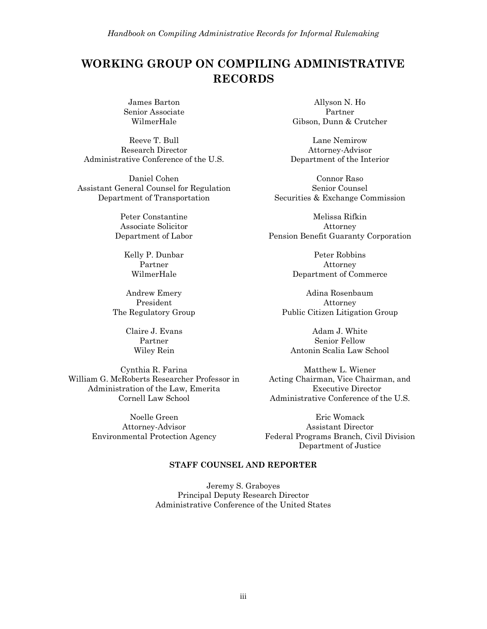#### <span id="page-4-0"></span>**WORKING GROUP ON COMPILING ADMINISTRATIVE RECORDS**

James Barton Senior Associate WilmerHale

Reeve T. Bull Research Director Administrative Conference of the U.S.

Daniel Cohen Assistant General Counsel for Regulation Department of Transportation

> Peter Constantine Associate Solicitor Department of Labor

> > Kelly P. Dunbar Partner WilmerHale

Andrew Emery President The Regulatory Group

> Claire J. Evans Partner Wiley Rein

Cynthia R. Farina William G. McRoberts Researcher Professor in Administration of the Law, Emerita Cornell Law School

> Noelle Green Attorney-Advisor Environmental Protection Agency

Allyson N. Ho Partner Gibson, Dunn & Crutcher

Lane Nemirow Attorney-Advisor Department of the Interior

Connor Raso Senior Counsel Securities & Exchange Commission

Melissa Rifkin Attorney Pension Benefit Guaranty Corporation

> Peter Robbins Attorney Department of Commerce

Adina Rosenbaum Attorney Public Citizen Litigation Group

Adam J. White Senior Fellow Antonin Scalia Law School

Matthew L. Wiener Acting Chairman, Vice Chairman, and Executive Director Administrative Conference of the U.S.

Eric Womack Assistant Director Federal Programs Branch, Civil Division Department of Justice

#### **STAFF COUNSEL AND REPORTER**

Jeremy S. Graboyes Principal Deputy Research Director Administrative Conference of the United States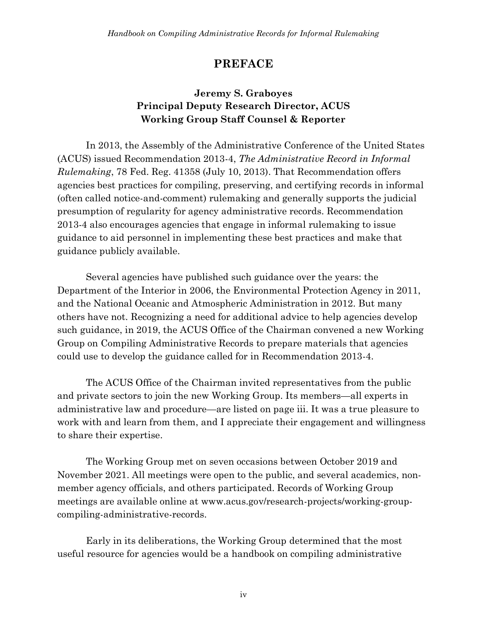#### **PREFACE**

#### **Jeremy S. Graboyes Principal Deputy Research Director, ACUS Working Group Staff Counsel & Reporter**

<span id="page-5-0"></span>In 2013, the Assembly of the Administrative Conference of the United States (ACUS) issued Recommendation 2013-4, *The Administrative Record in Informal Rulemaking*, 78 Fed. Reg. 41358 (July 10, 2013). That Recommendation offers agencies best practices for compiling, preserving, and certifying records in informal (often called notice-and-comment) rulemaking and generally supports the judicial presumption of regularity for agency administrative records. Recommendation 2013-4 also encourages agencies that engage in informal rulemaking to issue guidance to aid personnel in implementing these best practices and make that guidance publicly available.

Several agencies have published such guidance over the years: the Department of the Interior in 2006, the Environmental Protection Agency in 2011, and the National Oceanic and Atmospheric Administration in 2012. But many others have not. Recognizing a need for additional advice to help agencies develop such guidance, in 2019, the ACUS Office of the Chairman convened a new Working Group on Compiling Administrative Records to prepare materials that agencies could use to develop the guidance called for in Recommendation 2013-4.

The ACUS Office of the Chairman invited representatives from the public and private sectors to join the new Working Group. Its members—all experts in administrative law and procedure—are listed on page iii. It was a true pleasure to work with and learn from them, and I appreciate their engagement and willingness to share their expertise.

The Working Group met on seven occasions between October 2019 and November 2021. All meetings were open to the public, and several academics, nonmember agency officials, and others participated. Records of Working Group meetings are available online at www.acus.gov/research-projects/working-groupcompiling-administrative-records.

Early in its deliberations, the Working Group determined that the most useful resource for agencies would be a handbook on compiling administrative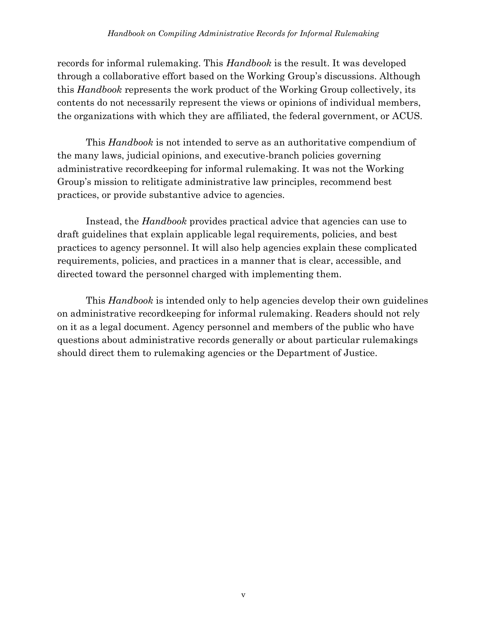records for informal rulemaking. This *Handbook* is the result. It was developed through a collaborative effort based on the Working Group's discussions. Although this *Handbook* represents the work product of the Working Group collectively, its contents do not necessarily represent the views or opinions of individual members, the organizations with which they are affiliated, the federal government, or ACUS.

This *Handbook* is not intended to serve as an authoritative compendium of the many laws, judicial opinions, and executive-branch policies governing administrative recordkeeping for informal rulemaking. It was not the Working Group's mission to relitigate administrative law principles, recommend best practices, or provide substantive advice to agencies.

Instead, the *Handbook* provides practical advice that agencies can use to draft guidelines that explain applicable legal requirements, policies, and best practices to agency personnel. It will also help agencies explain these complicated requirements, policies, and practices in a manner that is clear, accessible, and directed toward the personnel charged with implementing them.

This *Handbook* is intended only to help agencies develop their own guidelines on administrative recordkeeping for informal rulemaking. Readers should not rely on it as a legal document. Agency personnel and members of the public who have questions about administrative records generally or about particular rulemakings should direct them to rulemaking agencies or the Department of Justice.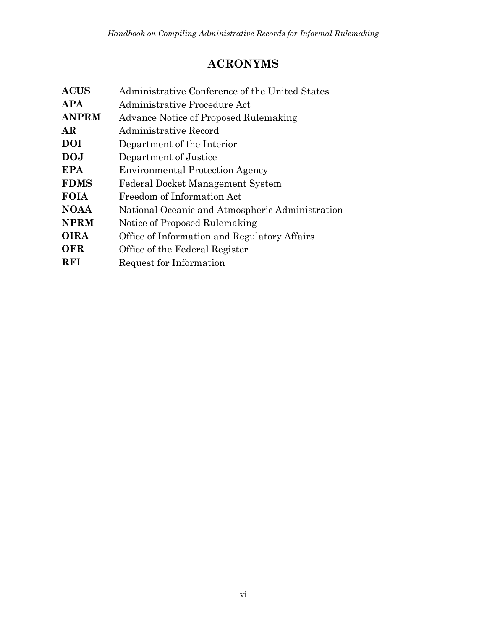# **ACRONYMS**

<span id="page-7-0"></span>

| $\operatorname{ACUS}$            | Administrative Conference of the United States  |
|----------------------------------|-------------------------------------------------|
| APA                              | Administrative Procedure Act                    |
| <b>ANPRM</b>                     | Advance Notice of Proposed Rulemaking           |
| AR                               | Administrative Record                           |
| DOI                              | Department of the Interior                      |
| $\mathbf{D}\mathbf{O}\mathbf{J}$ | Department of Justice                           |
| EPA                              | <b>Environmental Protection Agency</b>          |
| <b>FDMS</b>                      | Federal Docket Management System                |
| FOIA                             | Freedom of Information Act                      |
| <b>NOAA</b>                      | National Oceanic and Atmospheric Administration |
| <b>NPRM</b>                      | Notice of Proposed Rulemaking                   |
| OIRA                             | Office of Information and Regulatory Affairs    |
| OFR                              | Office of the Federal Register                  |
| RFI                              | Request for Information                         |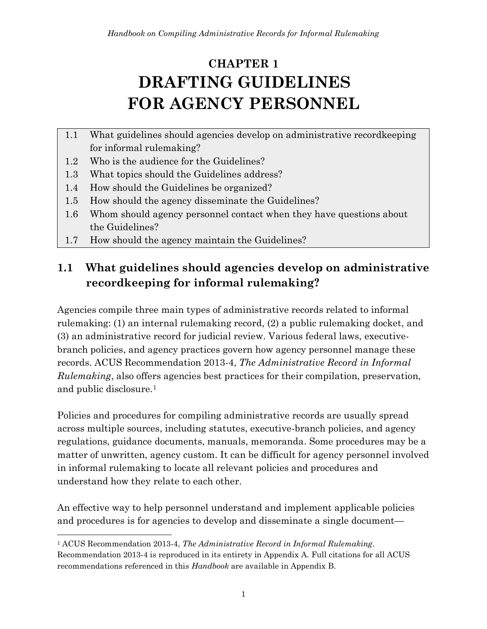# <span id="page-8-0"></span>**CHAPTER 1 DRAFTING GUIDELINES FOR AGENCY PERSONNEL**

- 1.1 What guidelines should agencies develop on administrative recordkeeping for informal rulemaking?
- 1.2 Who is the audience for the Guidelines?
- 1.3 What topics should the Guidelines address?
- 1.4 How should the Guidelines be organized?
- 1.5 How should the agency disseminate the Guidelines?
- 1.6 Whom should agency personnel contact when they have questions about the Guidelines?
- 1.7 How should the agency maintain the Guidelines?

## **1.1 What guidelines should agencies develop on administrative recordkeeping for informal rulemaking?**

Agencies compile three main types of administrative records related to informal rulemaking: (1) an internal rulemaking record, (2) a public rulemaking docket, and (3) an administrative record for judicial review. Various federal laws, executivebranch policies, and agency practices govern how agency personnel manage these records. ACUS Recommendation 2013-4, *The Administrative Record in Informal Rulemaking*, also offers agencies best practices for their compilation, preservation, and public disclosure.<sup>1</sup>

Policies and procedures for compiling administrative records are usually spread across multiple sources, including statutes, executive-branch policies, and agency regulations, guidance documents, manuals, memoranda. Some procedures may be a matter of unwritten, agency custom. It can be difficult for agency personnel involved in informal rulemaking to locate all relevant policies and procedures and understand how they relate to each other.

An effective way to help personnel understand and implement applicable policies and procedures is for agencies to develop and disseminate a single document—

<sup>1</sup> ACUS Recommendation 2013-4, *The Administrative Record in Informal Rulemaking*. Recommendation 2013-4 is reproduced in its entirety in Appendix A. Full citations for all ACUS recommendations referenced in this *Handbook* are available in Appendix B.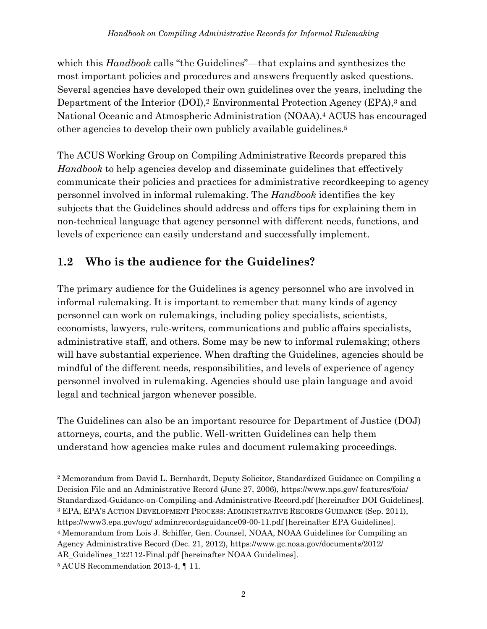which this *Handbook* calls "the Guidelines"—that explains and synthesizes the most important policies and procedures and answers frequently asked questions. Several agencies have developed their own guidelines over the years, including the Department of the Interior (DOI),<sup>2</sup> Environmental Protection Agency (EPA),<sup>3</sup> and National Oceanic and Atmospheric Administration (NOAA). <sup>4</sup> ACUS has encouraged other agencies to develop their own publicly available guidelines.<sup>5</sup>

The ACUS Working Group on Compiling Administrative Records prepared this *Handbook* to help agencies develop and disseminate guidelines that effectively communicate their policies and practices for administrative recordkeeping to agency personnel involved in informal rulemaking. The *Handbook* identifies the key subjects that the Guidelines should address and offers tips for explaining them in non-technical language that agency personnel with different needs, functions, and levels of experience can easily understand and successfully implement.

# **1.2 Who is the audience for the Guidelines?**

The primary audience for the Guidelines is agency personnel who are involved in informal rulemaking. It is important to remember that many kinds of agency personnel can work on rulemakings, including policy specialists, scientists, economists, lawyers, rule-writers, communications and public affairs specialists, administrative staff, and others. Some may be new to informal rulemaking; others will have substantial experience. When drafting the Guidelines, agencies should be mindful of the different needs, responsibilities, and levels of experience of agency personnel involved in rulemaking. Agencies should use plain language and avoid legal and technical jargon whenever possible.

The Guidelines can also be an important resource for Department of Justice (DOJ) attorneys, courts, and the public. Well-written Guidelines can help them understand how agencies make rules and document rulemaking proceedings.

<sup>2</sup> Memorandum from David L. Bernhardt, Deputy Solicitor, Standardized Guidance on Compiling a Decision File and an Administrative Record (June 27, 2006), https://www.nps.gov/ features/foia/ Standardized-Guidance-on-Compiling-and-Administrative-Record.pdf [hereinafter DOI Guidelines]. <sup>3</sup> EPA, EPA'S ACTION DEVELOPMENT PROCESS: ADMINISTRATIVE RECORDS GUIDANCE (Sep. 2011), https://www3.epa.gov/ogc/ adminrecordsguidance09-00-11.pdf [hereinafter EPA Guidelines]. <sup>4</sup> Memorandum from Lois J. Schiffer, Gen. Counsel, NOAA, NOAA Guidelines for Compiling an Agency Administrative Record (Dec. 21, 2012), https://www.gc.noaa.gov/documents/2012/

AR\_Guidelines\_122112-Final.pdf [hereinafter NOAA Guidelines].

<sup>5</sup> ACUS Recommendation 2013-4, ¶ 11.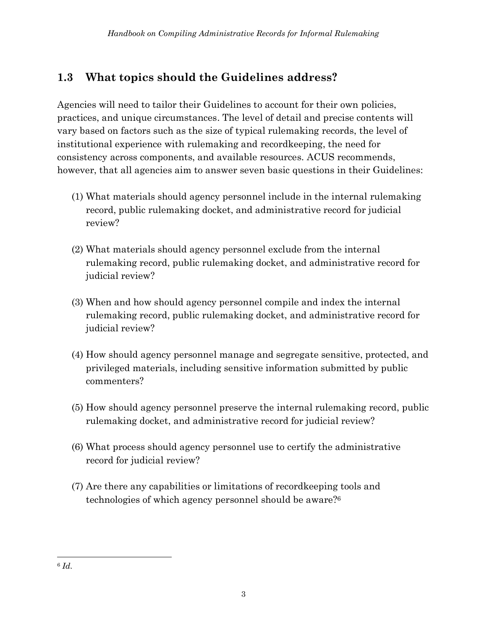# **1.3 What topics should the Guidelines address?**

Agencies will need to tailor their Guidelines to account for their own policies, practices, and unique circumstances. The level of detail and precise contents will vary based on factors such as the size of typical rulemaking records, the level of institutional experience with rulemaking and recordkeeping, the need for consistency across components, and available resources. ACUS recommends, however, that all agencies aim to answer seven basic questions in their Guidelines:

- (1) What materials should agency personnel include in the internal rulemaking record, public rulemaking docket, and administrative record for judicial review?
- (2) What materials should agency personnel exclude from the internal rulemaking record, public rulemaking docket, and administrative record for judicial review?
- (3) When and how should agency personnel compile and index the internal rulemaking record, public rulemaking docket, and administrative record for judicial review?
- (4) How should agency personnel manage and segregate sensitive, protected, and privileged materials, including sensitive information submitted by public commenters?
- (5) How should agency personnel preserve the internal rulemaking record, public rulemaking docket, and administrative record for judicial review?
- (6) What process should agency personnel use to certify the administrative record for judicial review?
- (7) Are there any capabilities or limitations of recordkeeping tools and technologies of which agency personnel should be aware? 6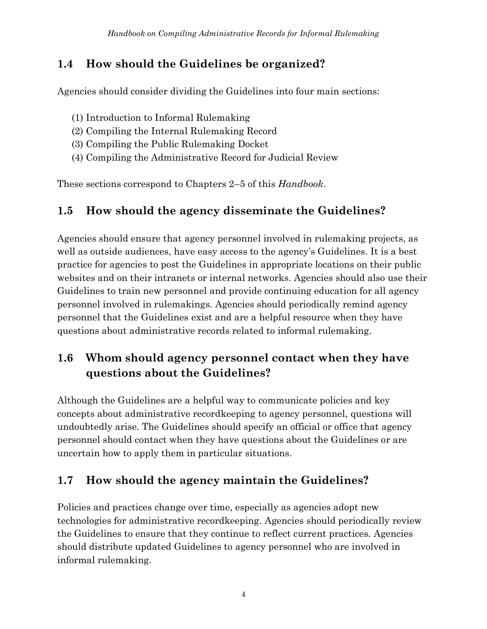#### **1.4 How should the Guidelines be organized?**

Agencies should consider dividing the Guidelines into four main sections:

- (1) Introduction to Informal Rulemaking
- (2) Compiling the Internal Rulemaking Record
- (3) Compiling the Public Rulemaking Docket
- (4) Compiling the Administrative Record for Judicial Review

These sections correspond to Chapters 2–5 of this *Handbook*.

#### **1.5 How should the agency disseminate the Guidelines?**

Agencies should ensure that agency personnel involved in rulemaking projects, as well as outside audiences, have easy access to the agency's Guidelines. It is a best practice for agencies to post the Guidelines in appropriate locations on their public websites and on their intranets or internal networks. Agencies should also use their Guidelines to train new personnel and provide continuing education for all agency personnel involved in rulemakings. Agencies should periodically remind agency personnel that the Guidelines exist and are a helpful resource when they have questions about administrative records related to informal rulemaking.

## **1.6 Whom should agency personnel contact when they have questions about the Guidelines?**

Although the Guidelines are a helpful way to communicate policies and key concepts about administrative recordkeeping to agency personnel, questions will undoubtedly arise. The Guidelines should specify an official or office that agency personnel should contact when they have questions about the Guidelines or are uncertain how to apply them in particular situations.

#### **1.7 How should the agency maintain the Guidelines?**

Policies and practices change over time, especially as agencies adopt new technologies for administrative recordkeeping. Agencies should periodically review the Guidelines to ensure that they continue to reflect current practices. Agencies should distribute updated Guidelines to agency personnel who are involved in informal rulemaking.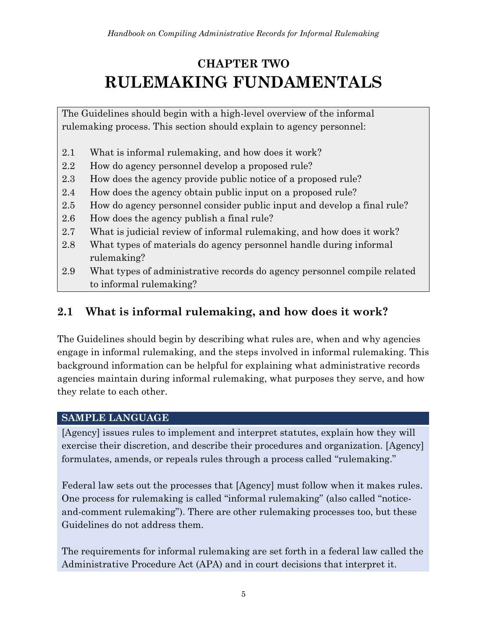# <span id="page-12-0"></span>**CHAPTER TWO RULEMAKING FUNDAMENTALS**

The Guidelines should begin with a high-level overview of the informal rulemaking process. This section should explain to agency personnel:

- 2.1 What is informal rulemaking, and how does it work?
- 2.2 How do agency personnel develop a proposed rule?
- 2.3 How does the agency provide public notice of a proposed rule?
- 2.4 How does the agency obtain public input on a proposed rule?
- 2.5 How do agency personnel consider public input and develop a final rule?
- 2.6 How does the agency publish a final rule?
- 2.7 What is judicial review of informal rulemaking, and how does it work?
- 2.8 What types of materials do agency personnel handle during informal rulemaking?
- 2.9 What types of administrative records do agency personnel compile related to informal rulemaking?

## **2.1 What is informal rulemaking, and how does it work?**

The Guidelines should begin by describing what rules are, when and why agencies engage in informal rulemaking, and the steps involved in informal rulemaking. This background information can be helpful for explaining what administrative records agencies maintain during informal rulemaking, what purposes they serve, and how they relate to each other.

#### **SAMPLE LANGUAGE**

[Agency] issues rules to implement and interpret statutes, explain how they will exercise their discretion, and describe their procedures and organization. [Agency] formulates, amends, or repeals rules through a process called "rulemaking."

Federal law sets out the processes that [Agency] must follow when it makes rules. One process for rulemaking is called "informal rulemaking" (also called "noticeand-comment rulemaking"). There are other rulemaking processes too, but these Guidelines do not address them.

The requirements for informal rulemaking are set forth in a federal law called the Administrative Procedure Act (APA) and in court decisions that interpret it.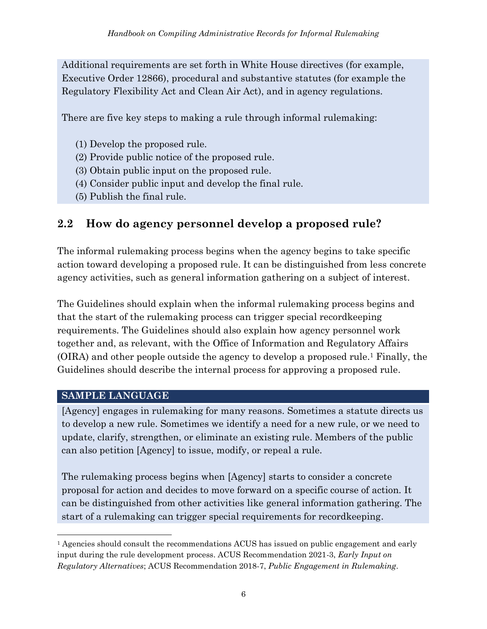Additional requirements are set forth in White House directives (for example, Executive Order 12866), procedural and substantive statutes (for example the Regulatory Flexibility Act and Clean Air Act), and in agency regulations.

There are five key steps to making a rule through informal rulemaking:

- (1) Develop the proposed rule.
- (2) Provide public notice of the proposed rule.
- (3) Obtain public input on the proposed rule.
- (4) Consider public input and develop the final rule.
- (5) Publish the final rule.

#### **2.2 How do agency personnel develop a proposed rule?**

The informal rulemaking process begins when the agency begins to take specific action toward developing a proposed rule. It can be distinguished from less concrete agency activities, such as general information gathering on a subject of interest.

The Guidelines should explain when the informal rulemaking process begins and that the start of the rulemaking process can trigger special recordkeeping requirements. The Guidelines should also explain how agency personnel work together and, as relevant, with the Office of Information and Regulatory Affairs (OIRA) and other people outside the agency to develop a proposed rule. <sup>1</sup> Finally, the Guidelines should describe the internal process for approving a proposed rule.

#### **SAMPLE LANGUAGE**

[Agency] engages in rulemaking for many reasons. Sometimes a statute directs us to develop a new rule. Sometimes we identify a need for a new rule, or we need to update, clarify, strengthen, or eliminate an existing rule. Members of the public can also petition [Agency] to issue, modify, or repeal a rule.

The rulemaking process begins when [Agency] starts to consider a concrete proposal for action and decides to move forward on a specific course of action. It can be distinguished from other activities like general information gathering. The start of a rulemaking can trigger special requirements for recordkeeping.

<sup>&</sup>lt;sup>1</sup> Agencies should consult the recommendations ACUS has issued on public engagement and early input during the rule development process. ACUS Recommendation 2021-3, *Early Input on Regulatory Alternatives*; ACUS Recommendation 2018-7, *Public Engagement in Rulemaking*.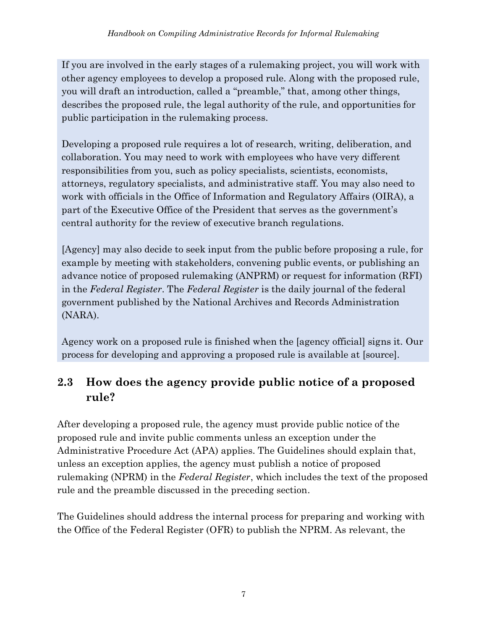If you are involved in the early stages of a rulemaking project, you will work with other agency employees to develop a proposed rule. Along with the proposed rule, you will draft an introduction, called a "preamble," that, among other things, describes the proposed rule, the legal authority of the rule, and opportunities for public participation in the rulemaking process.

Developing a proposed rule requires a lot of research, writing, deliberation, and collaboration. You may need to work with employees who have very different responsibilities from you, such as policy specialists, scientists, economists, attorneys, regulatory specialists, and administrative staff. You may also need to work with officials in the Office of Information and Regulatory Affairs (OIRA), a part of the Executive Office of the President that serves as the government's central authority for the review of executive branch regulations.

[Agency] may also decide to seek input from the public before proposing a rule, for example by meeting with stakeholders, convening public events, or publishing an advance notice of proposed rulemaking (ANPRM) or request for information (RFI) in the *Federal Register*. The *Federal Register* is the daily journal of the federal government published by the National Archives and Records Administration (NARA).

Agency work on a proposed rule is finished when the [agency official] signs it. Our process for developing and approving a proposed rule is available at [source].

## **2.3 How does the agency provide public notice of a proposed rule?**

After developing a proposed rule, the agency must provide public notice of the proposed rule and invite public comments unless an exception under the Administrative Procedure Act (APA) applies. The Guidelines should explain that, unless an exception applies, the agency must publish a notice of proposed rulemaking (NPRM) in the *Federal Register*, which includes the text of the proposed rule and the preamble discussed in the preceding section.

The Guidelines should address the internal process for preparing and working with the Office of the Federal Register (OFR) to publish the NPRM. As relevant, the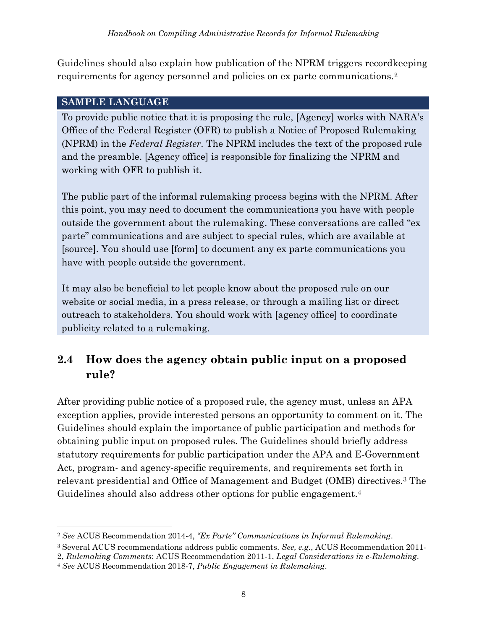Guidelines should also explain how publication of the NPRM triggers recordkeeping requirements for agency personnel and policies on ex parte communications.<sup>2</sup>

#### **SAMPLE LANGUAGE**

To provide public notice that it is proposing the rule, [Agency] works with NARA's Office of the Federal Register (OFR) to publish a Notice of Proposed Rulemaking (NPRM) in the *Federal Register*. The NPRM includes the text of the proposed rule and the preamble. [Agency office] is responsible for finalizing the NPRM and working with OFR to publish it.

The public part of the informal rulemaking process begins with the NPRM. After this point, you may need to document the communications you have with people outside the government about the rulemaking. These conversations are called "ex parte" communications and are subject to special rules, which are available at [source]. You should use [form] to document any ex parte communications you have with people outside the government.

It may also be beneficial to let people know about the proposed rule on our website or social media, in a press release, or through a mailing list or direct outreach to stakeholders. You should work with [agency office] to coordinate publicity related to a rulemaking.

#### **2.4 How does the agency obtain public input on a proposed rule?**

After providing public notice of a proposed rule, the agency must, unless an APA exception applies, provide interested persons an opportunity to comment on it. The Guidelines should explain the importance of public participation and methods for obtaining public input on proposed rules. The Guidelines should briefly address statutory requirements for public participation under the APA and E-Government Act, program- and agency-specific requirements, and requirements set forth in relevant presidential and Office of Management and Budget (OMB) directives.<sup>3</sup> The Guidelines should also address other options for public engagement.<sup>4</sup>

<sup>2</sup> *See* ACUS Recommendation 2014-4, *"Ex Parte" Communications in Informal Rulemaking*.

<sup>3</sup> Several ACUS recommendations address public comments. *See, e.g.*, ACUS Recommendation 2011-

<sup>2,</sup> *Rulemaking Comments*; ACUS Recommendation 2011-1, *Legal Considerations in e-Rulemaking*.

<sup>4</sup> *See* ACUS Recommendation 2018-7, *Public Engagement in Rulemaking*.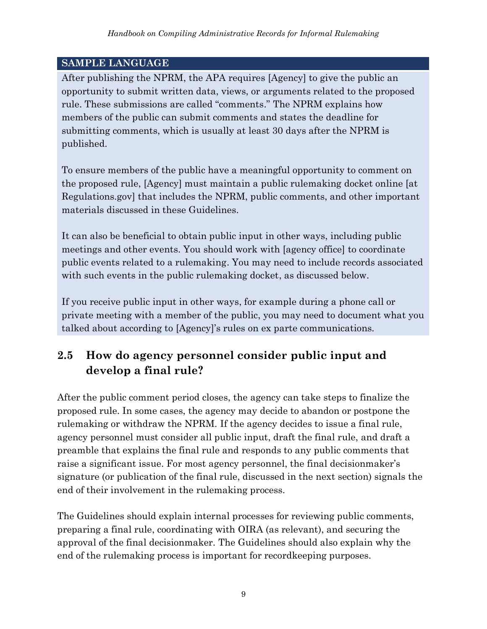After publishing the NPRM, the APA requires [Agency] to give the public an opportunity to submit written data, views, or arguments related to the proposed rule. These submissions are called "comments." The NPRM explains how members of the public can submit comments and states the deadline for submitting comments, which is usually at least 30 days after the NPRM is published.

To ensure members of the public have a meaningful opportunity to comment on the proposed rule, [Agency] must maintain a public rulemaking docket online [at Regulations.gov] that includes the NPRM, public comments, and other important materials discussed in these Guidelines.

It can also be beneficial to obtain public input in other ways, including public meetings and other events. You should work with [agency office] to coordinate public events related to a rulemaking. You may need to include records associated with such events in the public rulemaking docket, as discussed below.

If you receive public input in other ways, for example during a phone call or private meeting with a member of the public, you may need to document what you talked about according to [Agency]'s rules on ex parte communications.

## **2.5 How do agency personnel consider public input and develop a final rule?**

After the public comment period closes, the agency can take steps to finalize the proposed rule. In some cases, the agency may decide to abandon or postpone the rulemaking or withdraw the NPRM. If the agency decides to issue a final rule, agency personnel must consider all public input, draft the final rule, and draft a preamble that explains the final rule and responds to any public comments that raise a significant issue. For most agency personnel, the final decisionmaker's signature (or publication of the final rule, discussed in the next section) signals the end of their involvement in the rulemaking process.

The Guidelines should explain internal processes for reviewing public comments, preparing a final rule, coordinating with OIRA (as relevant), and securing the approval of the final decisionmaker. The Guidelines should also explain why the end of the rulemaking process is important for recordkeeping purposes.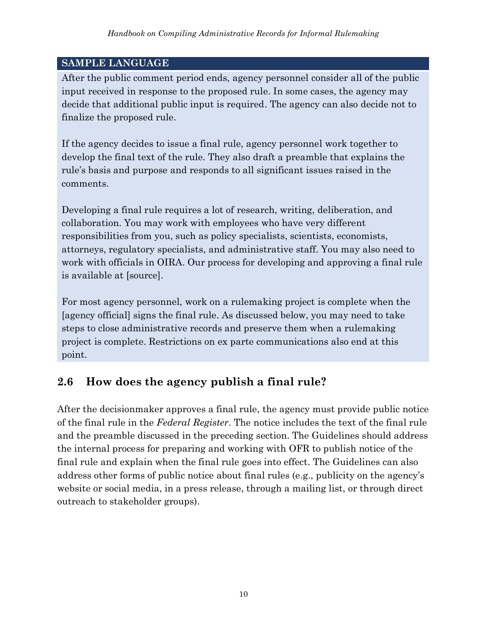After the public comment period ends, agency personnel consider all of the public input received in response to the proposed rule. In some cases, the agency may decide that additional public input is required. The agency can also decide not to finalize the proposed rule.

If the agency decides to issue a final rule, agency personnel work together to develop the final text of the rule. They also draft a preamble that explains the rule's basis and purpose and responds to all significant issues raised in the comments.

Developing a final rule requires a lot of research, writing, deliberation, and collaboration. You may work with employees who have very different responsibilities from you, such as policy specialists, scientists, economists, attorneys, regulatory specialists, and administrative staff. You may also need to work with officials in OIRA. Our process for developing and approving a final rule is available at [source].

For most agency personnel, work on a rulemaking project is complete when the [agency official] signs the final rule. As discussed below, you may need to take steps to close administrative records and preserve them when a rulemaking project is complete. Restrictions on ex parte communications also end at this point.

#### **2.6 How does the agency publish a final rule?**

After the decisionmaker approves a final rule, the agency must provide public notice of the final rule in the *Federal Register*. The notice includes the text of the final rule and the preamble discussed in the preceding section. The Guidelines should address the internal process for preparing and working with OFR to publish notice of the final rule and explain when the final rule goes into effect. The Guidelines can also address other forms of public notice about final rules (e.g., publicity on the agency's website or social media, in a press release, through a mailing list, or through direct outreach to stakeholder groups).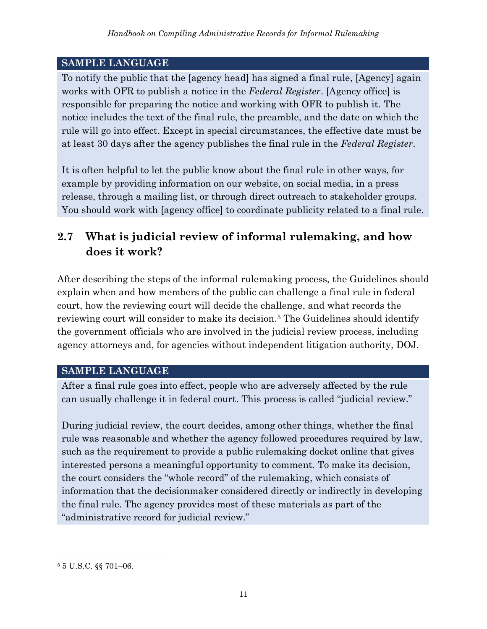To notify the public that the [agency head] has signed a final rule, [Agency] again works with OFR to publish a notice in the *Federal Register*. [Agency office] is responsible for preparing the notice and working with OFR to publish it. The notice includes the text of the final rule, the preamble, and the date on which the rule will go into effect. Except in special circumstances, the effective date must be at least 30 days after the agency publishes the final rule in the *Federal Register*.

It is often helpful to let the public know about the final rule in other ways, for example by providing information on our website, on social media, in a press release, through a mailing list, or through direct outreach to stakeholder groups. You should work with [agency office] to coordinate publicity related to a final rule.

## **2.7 What is judicial review of informal rulemaking, and how does it work?**

After describing the steps of the informal rulemaking process, the Guidelines should explain when and how members of the public can challenge a final rule in federal court, how the reviewing court will decide the challenge, and what records the reviewing court will consider to make its decision. <sup>5</sup> The Guidelines should identify the government officials who are involved in the judicial review process, including agency attorneys and, for agencies without independent litigation authority, DOJ.

#### **SAMPLE LANGUAGE**

After a final rule goes into effect, people who are adversely affected by the rule can usually challenge it in federal court. This process is called "judicial review."

During judicial review, the court decides, among other things, whether the final rule was reasonable and whether the agency followed procedures required by law, such as the requirement to provide a public rulemaking docket online that gives interested persons a meaningful opportunity to comment. To make its decision, the court considers the "whole record" of the rulemaking, which consists of information that the decisionmaker considered directly or indirectly in developing the final rule. The agency provides most of these materials as part of the "administrative record for judicial review."

<sup>5</sup> 5 U.S.C. §§ 701–06.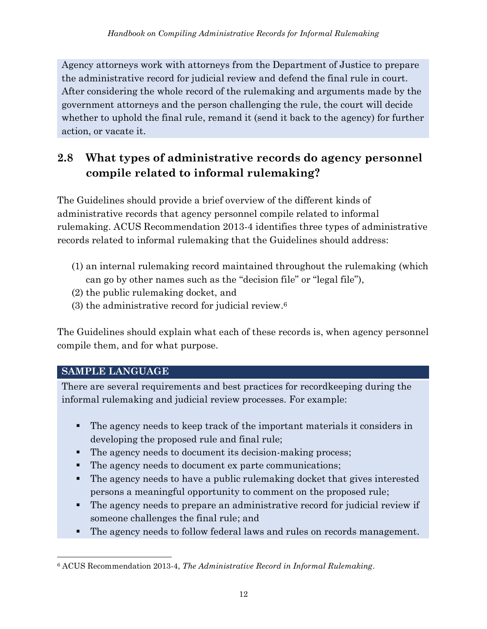Agency attorneys work with attorneys from the Department of Justice to prepare the administrative record for judicial review and defend the final rule in court. After considering the whole record of the rulemaking and arguments made by the government attorneys and the person challenging the rule, the court will decide whether to uphold the final rule, remand it (send it back to the agency) for further action, or vacate it.

# **2.8 What types of administrative records do agency personnel compile related to informal rulemaking?**

The Guidelines should provide a brief overview of the different kinds of administrative records that agency personnel compile related to informal rulemaking. ACUS Recommendation 2013-4 identifies three types of administrative records related to informal rulemaking that the Guidelines should address:

- (1) an internal rulemaking record maintained throughout the rulemaking (which can go by other names such as the "decision file" or "legal file"),
- (2) the public rulemaking docket, and
- (3) the administrative record for judicial review. 6

The Guidelines should explain what each of these records is, when agency personnel compile them, and for what purpose.

#### **SAMPLE LANGUAGE**

There are several requirements and best practices for recordkeeping during the informal rulemaking and judicial review processes. For example:

- The agency needs to keep track of the important materials it considers in developing the proposed rule and final rule;
- The agency needs to document its decision-making process;
- The agency needs to document ex parte communications;
- The agency needs to have a public rulemaking docket that gives interested persons a meaningful opportunity to comment on the proposed rule;
- The agency needs to prepare an administrative record for judicial review if someone challenges the final rule; and
- The agency needs to follow federal laws and rules on records management.

<sup>6</sup> ACUS Recommendation 2013-4, *The Administrative Record in Informal Rulemaking*.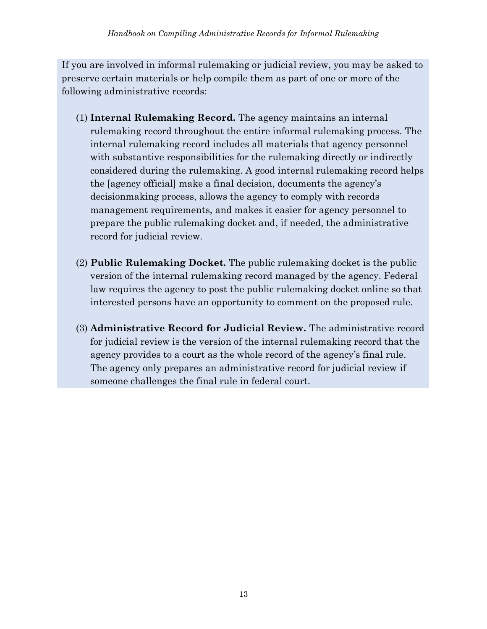If you are involved in informal rulemaking or judicial review, you may be asked to preserve certain materials or help compile them as part of one or more of the following administrative records:

- (1) **Internal Rulemaking Record.** The agency maintains an internal rulemaking record throughout the entire informal rulemaking process. The internal rulemaking record includes all materials that agency personnel with substantive responsibilities for the rulemaking directly or indirectly considered during the rulemaking. A good internal rulemaking record helps the [agency official] make a final decision, documents the agency's decisionmaking process, allows the agency to comply with records management requirements, and makes it easier for agency personnel to prepare the public rulemaking docket and, if needed, the administrative record for judicial review.
- (2) **Public Rulemaking Docket.** The public rulemaking docket is the public version of the internal rulemaking record managed by the agency. Federal law requires the agency to post the public rulemaking docket online so that interested persons have an opportunity to comment on the proposed rule.
- (3) **Administrative Record for Judicial Review.** The administrative record for judicial review is the version of the internal rulemaking record that the agency provides to a court as the whole record of the agency's final rule. The agency only prepares an administrative record for judicial review if someone challenges the final rule in federal court.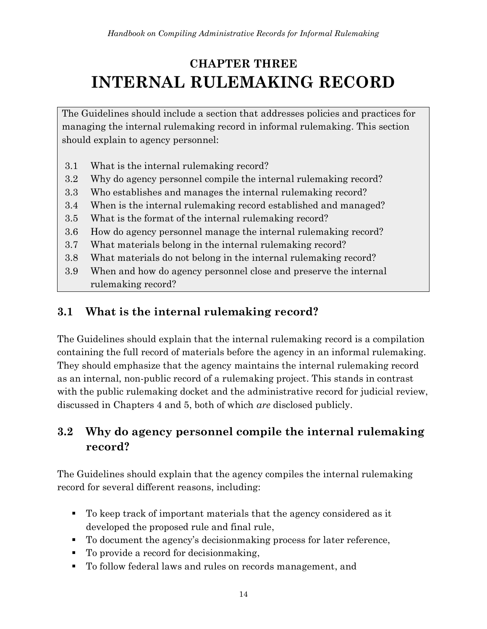# <span id="page-21-0"></span>**CHAPTER THREE INTERNAL RULEMAKING RECORD**

The Guidelines should include a section that addresses policies and practices for managing the internal rulemaking record in informal rulemaking. This section should explain to agency personnel:

- 3.1 What is the internal rulemaking record?
- 3.2 Why do agency personnel compile the internal rulemaking record?
- 3.3 Who establishes and manages the internal rulemaking record?
- 3.4 When is the internal rulemaking record established and managed?
- 3.5 What is the format of the internal rulemaking record?
- 3.6 How do agency personnel manage the internal rulemaking record?
- 3.7 What materials belong in the internal rulemaking record?
- 3.8 What materials do not belong in the internal rulemaking record?
- 3.9 When and how do agency personnel close and preserve the internal rulemaking record?

## **3.1 What is the internal rulemaking record?**

The Guidelines should explain that the internal rulemaking record is a compilation containing the full record of materials before the agency in an informal rulemaking. They should emphasize that the agency maintains the internal rulemaking record as an internal, non-public record of a rulemaking project. This stands in contrast with the public rulemaking docket and the administrative record for judicial review, discussed in Chapters 4 and 5, both of which *are* disclosed publicly.

# **3.2 Why do agency personnel compile the internal rulemaking record?**

The Guidelines should explain that the agency compiles the internal rulemaking record for several different reasons, including:

- To keep track of important materials that the agency considered as it developed the proposed rule and final rule,
- To document the agency's decisionmaking process for later reference,
- To provide a record for decision making,
- To follow federal laws and rules on records management, and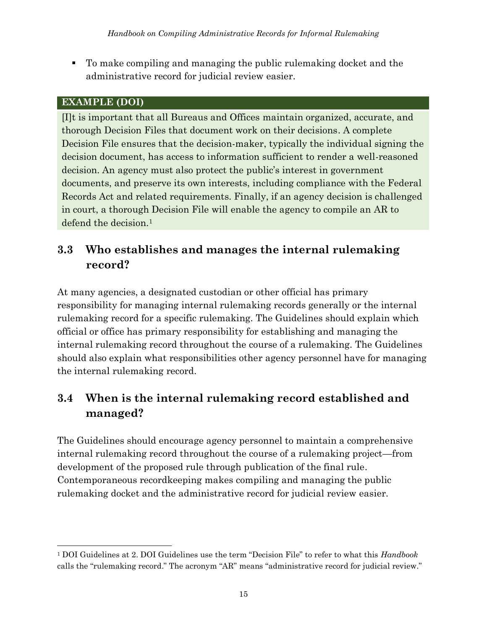▪ To make compiling and managing the public rulemaking docket and the administrative record for judicial review easier.

#### **EXAMPLE (DOI)**

[I]t is important that all Bureaus and Offices maintain organized, accurate, and thorough Decision Files that document work on their decisions. A complete Decision File ensures that the decision-maker, typically the individual signing the decision document, has access to information sufficient to render a well-reasoned decision. An agency must also protect the public's interest in government documents, and preserve its own interests, including compliance with the Federal Records Act and related requirements. Finally, if an agency decision is challenged in court, a thorough Decision File will enable the agency to compile an AR to defend the decision.<sup>1</sup>

## **3.3 Who establishes and manages the internal rulemaking record?**

At many agencies, a designated custodian or other official has primary responsibility for managing internal rulemaking records generally or the internal rulemaking record for a specific rulemaking. The Guidelines should explain which official or office has primary responsibility for establishing and managing the internal rulemaking record throughout the course of a rulemaking. The Guidelines should also explain what responsibilities other agency personnel have for managing the internal rulemaking record.

## **3.4 When is the internal rulemaking record established and managed?**

The Guidelines should encourage agency personnel to maintain a comprehensive internal rulemaking record throughout the course of a rulemaking project—from development of the proposed rule through publication of the final rule. Contemporaneous recordkeeping makes compiling and managing the public rulemaking docket and the administrative record for judicial review easier.

<sup>1</sup> DOI Guidelines at 2. DOI Guidelines use the term "Decision File" to refer to what this *Handbook* calls the "rulemaking record." The acronym "AR" means "administrative record for judicial review."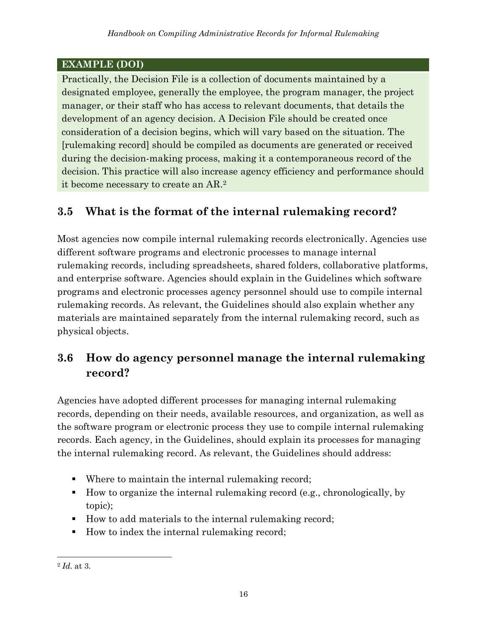#### **EXAMPLE (DOI)**

Practically, the Decision File is a collection of documents maintained by a designated employee, generally the employee, the program manager, the project manager, or their staff who has access to relevant documents, that details the development of an agency decision. A Decision File should be created once consideration of a decision begins, which will vary based on the situation. The [rulemaking record] should be compiled as documents are generated or received during the decision-making process, making it a contemporaneous record of the decision. This practice will also increase agency efficiency and performance should it become necessary to create an AR. 2

#### **3.5 What is the format of the internal rulemaking record?**

Most agencies now compile internal rulemaking records electronically. Agencies use different software programs and electronic processes to manage internal rulemaking records, including spreadsheets, shared folders, collaborative platforms, and enterprise software. Agencies should explain in the Guidelines which software programs and electronic processes agency personnel should use to compile internal rulemaking records. As relevant, the Guidelines should also explain whether any materials are maintained separately from the internal rulemaking record, such as physical objects.

#### **3.6 How do agency personnel manage the internal rulemaking record?**

Agencies have adopted different processes for managing internal rulemaking records, depending on their needs, available resources, and organization, as well as the software program or electronic process they use to compile internal rulemaking records. Each agency, in the Guidelines, should explain its processes for managing the internal rulemaking record. As relevant, the Guidelines should address:

- Where to maintain the internal rulemaking record;
- How to organize the internal rulemaking record (e.g., chronologically, by topic);
- How to add materials to the internal rulemaking record;
- How to index the internal rulemaking record;

<sup>2</sup> *Id*. at 3.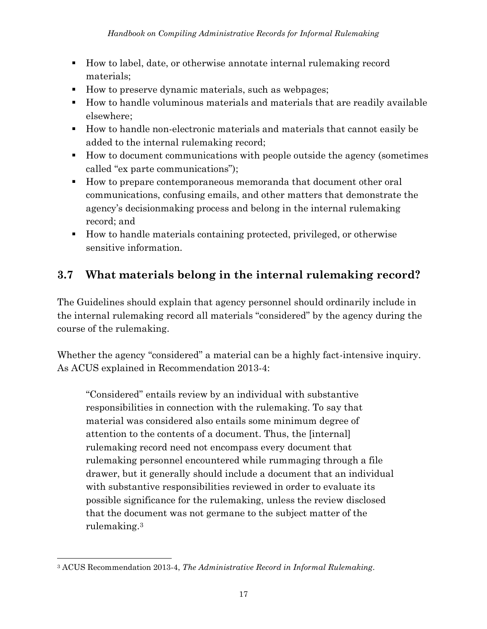- How to label, date, or otherwise annotate internal rulemaking record materials;
- How to preserve dynamic materials, such as webpages;
- How to handle voluminous materials and materials that are readily available elsewhere;
- How to handle non-electronic materials and materials that cannot easily be added to the internal rulemaking record;
- How to document communications with people outside the agency (sometimes called "ex parte communications");
- How to prepare contemporaneous memoranda that document other oral communications, confusing emails, and other matters that demonstrate the agency's decisionmaking process and belong in the internal rulemaking record; and
- How to handle materials containing protected, privileged, or otherwise sensitive information.

## **3.7 What materials belong in the internal rulemaking record?**

The Guidelines should explain that agency personnel should ordinarily include in the internal rulemaking record all materials "considered" by the agency during the course of the rulemaking.

Whether the agency "considered" a material can be a highly fact-intensive inquiry. As ACUS explained in Recommendation 2013-4:

"Considered" entails review by an individual with substantive responsibilities in connection with the rulemaking. To say that material was considered also entails some minimum degree of attention to the contents of a document. Thus, the [internal] rulemaking record need not encompass every document that rulemaking personnel encountered while rummaging through a file drawer, but it generally should include a document that an individual with substantive responsibilities reviewed in order to evaluate its possible significance for the rulemaking, unless the review disclosed that the document was not germane to the subject matter of the rulemaking.<sup>3</sup>

<sup>3</sup> ACUS Recommendation 2013-4, *The Administrative Record in Informal Rulemaking*.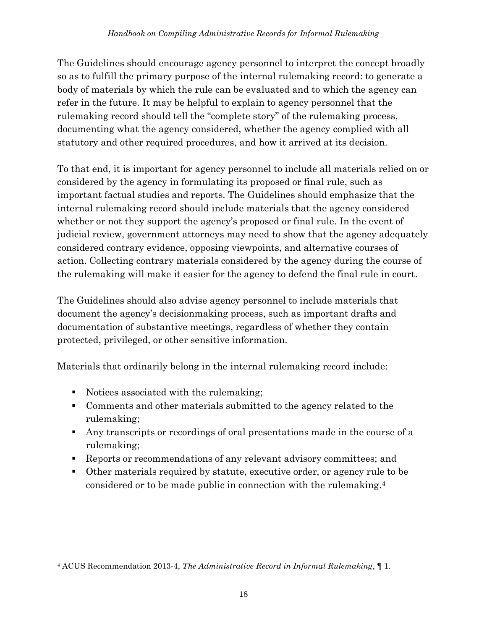The Guidelines should encourage agency personnel to interpret the concept broadly so as to fulfill the primary purpose of the internal rulemaking record: to generate a body of materials by which the rule can be evaluated and to which the agency can refer in the future. It may be helpful to explain to agency personnel that the rulemaking record should tell the "complete story" of the rulemaking process, documenting what the agency considered, whether the agency complied with all statutory and other required procedures, and how it arrived at its decision.

To that end, it is important for agency personnel to include all materials relied on or considered by the agency in formulating its proposed or final rule, such as important factual studies and reports. The Guidelines should emphasize that the internal rulemaking record should include materials that the agency considered whether or not they support the agency's proposed or final rule. In the event of judicial review, government attorneys may need to show that the agency adequately considered contrary evidence, opposing viewpoints, and alternative courses of action. Collecting contrary materials considered by the agency during the course of the rulemaking will make it easier for the agency to defend the final rule in court.

The Guidelines should also advise agency personnel to include materials that document the agency's decisionmaking process, such as important drafts and documentation of substantive meetings, regardless of whether they contain protected, privileged, or other sensitive information.

Materials that ordinarily belong in the internal rulemaking record include:

- Notices associated with the rulemaking;
- Comments and other materials submitted to the agency related to the rulemaking;
- Any transcripts or recordings of oral presentations made in the course of a rulemaking;
- Reports or recommendations of any relevant advisory committees; and
- Other materials required by statute, executive order, or agency rule to be considered or to be made public in connection with the rulemaking. 4

<sup>4</sup> ACUS Recommendation 2013-4, *The Administrative Record in Informal Rulemaking*, ¶ 1.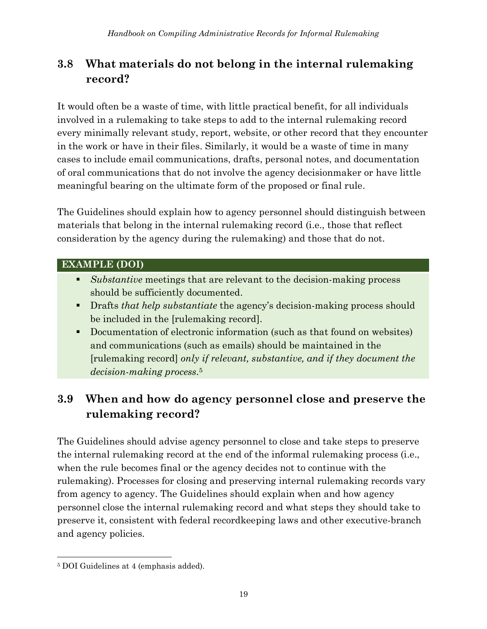## **3.8 What materials do not belong in the internal rulemaking record?**

It would often be a waste of time, with little practical benefit, for all individuals involved in a rulemaking to take steps to add to the internal rulemaking record every minimally relevant study, report, website, or other record that they encounter in the work or have in their files. Similarly, it would be a waste of time in many cases to include email communications, drafts, personal notes, and documentation of oral communications that do not involve the agency decisionmaker or have little meaningful bearing on the ultimate form of the proposed or final rule.

The Guidelines should explain how to agency personnel should distinguish between materials that belong in the internal rulemaking record (i.e., those that reflect consideration by the agency during the rulemaking) and those that do not.

#### **EXAMPLE (DOI)**

- *Substantive* meetings that are relevant to the decision-making process should be sufficiently documented.
- Drafts *that help substantiate* the agency's decision-making process should be included in the [rulemaking record].
- Documentation of electronic information (such as that found on websites) and communications (such as emails) should be maintained in the [rulemaking record] *only if relevant, substantive, and if they document the decision-making process*. 5

## **3.9 When and how do agency personnel close and preserve the rulemaking record?**

The Guidelines should advise agency personnel to close and take steps to preserve the internal rulemaking record at the end of the informal rulemaking process (i.e., when the rule becomes final or the agency decides not to continue with the rulemaking). Processes for closing and preserving internal rulemaking records vary from agency to agency. The Guidelines should explain when and how agency personnel close the internal rulemaking record and what steps they should take to preserve it, consistent with federal recordkeeping laws and other executive-branch and agency policies.

<sup>5</sup> DOI Guidelines at 4 (emphasis added).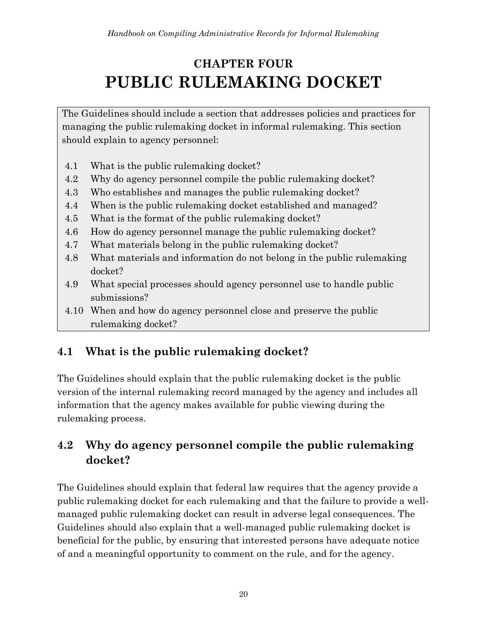# <span id="page-27-0"></span>**CHAPTER FOUR PUBLIC RULEMAKING DOCKET**

The Guidelines should include a section that addresses policies and practices for managing the public rulemaking docket in informal rulemaking. This section should explain to agency personnel:

- 4.1 What is the public rulemaking docket?
- 4.2 Why do agency personnel compile the public rulemaking docket?
- 4.3 Who establishes and manages the public rulemaking docket?
- 4.4 When is the public rulemaking docket established and managed?
- 4.5 What is the format of the public rulemaking docket?
- 4.6 How do agency personnel manage the public rulemaking docket?
- 4.7 What materials belong in the public rulemaking docket?
- 4.8 What materials and information do not belong in the public rulemaking docket?
- 4.9 What special processes should agency personnel use to handle public submissions?
- 4.10 When and how do agency personnel close and preserve the public rulemaking docket?

## **4.1 What is the public rulemaking docket?**

The Guidelines should explain that the public rulemaking docket is the public version of the internal rulemaking record managed by the agency and includes all information that the agency makes available for public viewing during the rulemaking process.

## **4.2 Why do agency personnel compile the public rulemaking docket?**

The Guidelines should explain that federal law requires that the agency provide a public rulemaking docket for each rulemaking and that the failure to provide a wellmanaged public rulemaking docket can result in adverse legal consequences. The Guidelines should also explain that a well-managed public rulemaking docket is beneficial for the public, by ensuring that interested persons have adequate notice of and a meaningful opportunity to comment on the rule, and for the agency.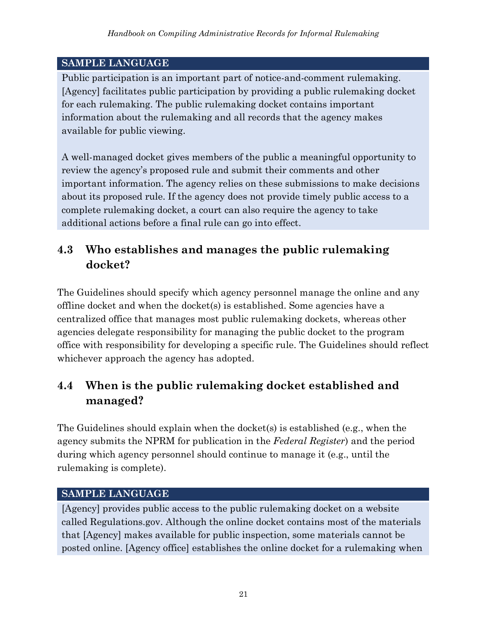Public participation is an important part of notice-and-comment rulemaking. [Agency] facilitates public participation by providing a public rulemaking docket for each rulemaking. The public rulemaking docket contains important information about the rulemaking and all records that the agency makes available for public viewing.

A well-managed docket gives members of the public a meaningful opportunity to review the agency's proposed rule and submit their comments and other important information. The agency relies on these submissions to make decisions about its proposed rule. If the agency does not provide timely public access to a complete rulemaking docket, a court can also require the agency to take additional actions before a final rule can go into effect.

## **4.3 Who establishes and manages the public rulemaking docket?**

The Guidelines should specify which agency personnel manage the online and any offline docket and when the docket(s) is established. Some agencies have a centralized office that manages most public rulemaking dockets, whereas other agencies delegate responsibility for managing the public docket to the program office with responsibility for developing a specific rule. The Guidelines should reflect whichever approach the agency has adopted.

## **4.4 When is the public rulemaking docket established and managed?**

The Guidelines should explain when the docket(s) is established (e.g., when the agency submits the NPRM for publication in the *Federal Register*) and the period during which agency personnel should continue to manage it (e.g., until the rulemaking is complete).

#### **SAMPLE LANGUAGE**

[Agency] provides public access to the public rulemaking docket on a website called Regulations.gov. Although the online docket contains most of the materials that [Agency] makes available for public inspection, some materials cannot be posted online. [Agency office] establishes the online docket for a rulemaking when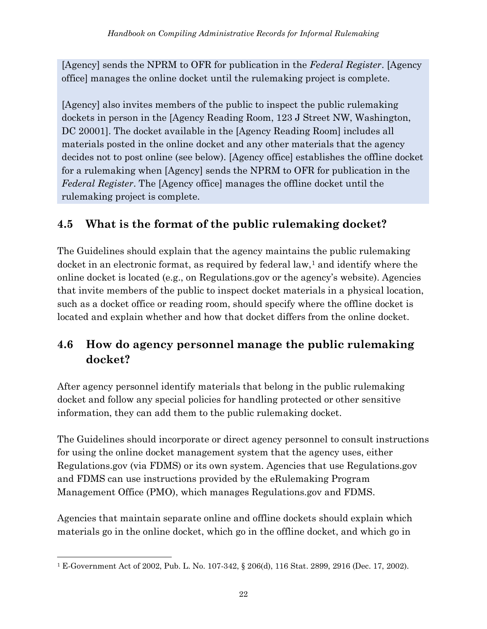[Agency] sends the NPRM to OFR for publication in the *Federal Register*. [Agency office] manages the online docket until the rulemaking project is complete.

[Agency] also invites members of the public to inspect the public rulemaking dockets in person in the [Agency Reading Room, 123 J Street NW, Washington, DC 20001]. The docket available in the [Agency Reading Room] includes all materials posted in the online docket and any other materials that the agency decides not to post online (see below). [Agency office] establishes the offline docket for a rulemaking when [Agency] sends the NPRM to OFR for publication in the *Federal Register*. The [Agency office] manages the offline docket until the rulemaking project is complete.

# **4.5 What is the format of the public rulemaking docket?**

The Guidelines should explain that the agency maintains the public rulemaking docket in an electronic format, as required by federal law, $<sup>1</sup>$  and identify where the</sup> online docket is located (e.g., on Regulations.gov or the agency's website). Agencies that invite members of the public to inspect docket materials in a physical location, such as a docket office or reading room, should specify where the offline docket is located and explain whether and how that docket differs from the online docket.

## **4.6 How do agency personnel manage the public rulemaking docket?**

After agency personnel identify materials that belong in the public rulemaking docket and follow any special policies for handling protected or other sensitive information, they can add them to the public rulemaking docket.

The Guidelines should incorporate or direct agency personnel to consult instructions for using the online docket management system that the agency uses, either Regulations.gov (via FDMS) or its own system. Agencies that use Regulations.gov and FDMS can use instructions provided by the eRulemaking Program Management Office (PMO), which manages Regulations.gov and FDMS.

Agencies that maintain separate online and offline dockets should explain which materials go in the online docket, which go in the offline docket, and which go in

<sup>1</sup> E-Government Act of 2002, Pub. L. No. 107-342, § 206(d), 116 Stat. 2899, 2916 (Dec. 17, 2002).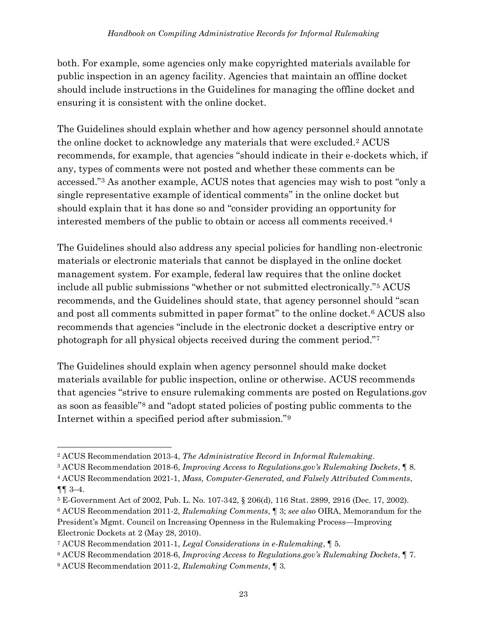both. For example, some agencies only make copyrighted materials available for public inspection in an agency facility. Agencies that maintain an offline docket should include instructions in the Guidelines for managing the offline docket and ensuring it is consistent with the online docket.

The Guidelines should explain whether and how agency personnel should annotate the online docket to acknowledge any materials that were excluded.<sup>2</sup> ACUS recommends, for example, that agencies "should indicate in their e-dockets which, if any, types of comments were not posted and whether these comments can be accessed."<sup>3</sup> As another example, ACUS notes that agencies may wish to post "only a single representative example of identical comments" in the online docket but should explain that it has done so and "consider providing an opportunity for interested members of the public to obtain or access all comments received.<sup>4</sup>

The Guidelines should also address any special policies for handling non-electronic materials or electronic materials that cannot be displayed in the online docket management system. For example, federal law requires that the online docket include all public submissions "whether or not submitted electronically."<sup>5</sup> ACUS recommends, and the Guidelines should state, that agency personnel should "scan and post all comments submitted in paper format" to the online docket.<sup>6</sup> ACUS also recommends that agencies "include in the electronic docket a descriptive entry or photograph for all physical objects received during the comment period."<sup>7</sup>

The Guidelines should explain when agency personnel should make docket materials available for public inspection, online or otherwise. ACUS recommends that agencies "strive to ensure rulemaking comments are posted on Regulations.gov as soon as feasible"<sup>8</sup> and "adopt stated policies of posting public comments to the Internet within a specified period after submission."<sup>9</sup>

<sup>2</sup> ACUS Recommendation 2013-4, *The Administrative Record in Informal Rulemaking*.

<sup>3</sup> ACUS Recommendation 2018-6, *Improving Access to Regulations.gov's Rulemaking Dockets*, ¶ 8.

<sup>4</sup> ACUS Recommendation 2021-1, *Mass, Computer-Generated, and Falsely Attributed Comments*, ¶¶ 3–4.

<sup>5</sup> E-Government Act of 2002, Pub. L. No. 107-342, § 206(d), 116 Stat. 2899, 2916 (Dec. 17, 2002).

<sup>6</sup> ACUS Recommendation 2011-2, *Rulemaking Comments*, ¶ 3; *see also* OIRA, Memorandum for the President's Mgmt. Council on Increasing Openness in the Rulemaking Process—Improving Electronic Dockets at 2 (May 28, 2010).

<sup>7</sup> ACUS Recommendation 2011-1, *Legal Considerations in e-Rulemaking*, ¶ 5.

<sup>8</sup> ACUS Recommendation 2018-6, *Improving Access to Regulations.gov's Rulemaking Dockets*, ¶ 7.

<sup>9</sup> ACUS Recommendation 2011-2, *Rulemaking Comments*, ¶ 3.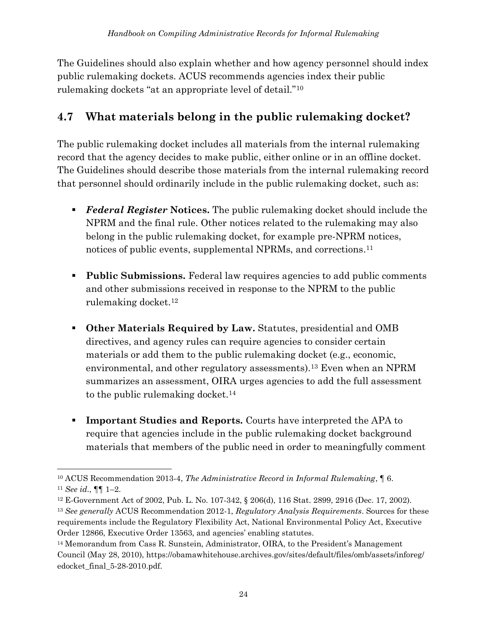The Guidelines should also explain whether and how agency personnel should index public rulemaking dockets. ACUS recommends agencies index their public rulemaking dockets "at an appropriate level of detail."<sup>10</sup>

## **4.7 What materials belong in the public rulemaking docket?**

The public rulemaking docket includes all materials from the internal rulemaking record that the agency decides to make public, either online or in an offline docket. The Guidelines should describe those materials from the internal rulemaking record that personnel should ordinarily include in the public rulemaking docket, such as:

- *Federal Register* Notices. The public rulemaking docket should include the NPRM and the final rule. Other notices related to the rulemaking may also belong in the public rulemaking docket, for example pre-NPRM notices, notices of public events, supplemental NPRMs, and corrections. 11
- **Public Submissions.** Federal law requires agencies to add public comments and other submissions received in response to the NPRM to the public rulemaking docket.<sup>12</sup>
- **Other Materials Required by Law.** Statutes, presidential and OMB directives, and agency rules can require agencies to consider certain materials or add them to the public rulemaking docket (e.g., economic, environmental, and other regulatory assessments). <sup>13</sup> Even when an NPRM summarizes an assessment, OIRA urges agencies to add the full assessment to the public rulemaking docket.<sup>14</sup>
- **Important Studies and Reports.** Courts have interpreted the APA to require that agencies include in the public rulemaking docket background materials that members of the public need in order to meaningfully comment

<sup>10</sup> ACUS Recommendation 2013-4, *The Administrative Record in Informal Rulemaking*, ¶ 6. <sup>11</sup> *See id*., ¶¶ 1–2.

<sup>12</sup> E-Government Act of 2002, Pub. L. No. 107-342, § 206(d), 116 Stat. 2899, 2916 (Dec. 17, 2002).

<sup>13</sup> *See generally* ACUS Recommendation 2012-1, *Regulatory Analysis Requirements*. Sources for these requirements include the Regulatory Flexibility Act, National Environmental Policy Act, Executive Order 12866, Executive Order 13563, and agencies' enabling statutes.

<sup>&</sup>lt;sup>14</sup> Memorandum from Cass R. Sunstein, Administrator, OIRA, to the President's Management Council (May 28, 2010), https://obamawhitehouse.archives.gov/sites/default/files/omb/assets/inforeg/ edocket\_final\_5-28-2010.pdf.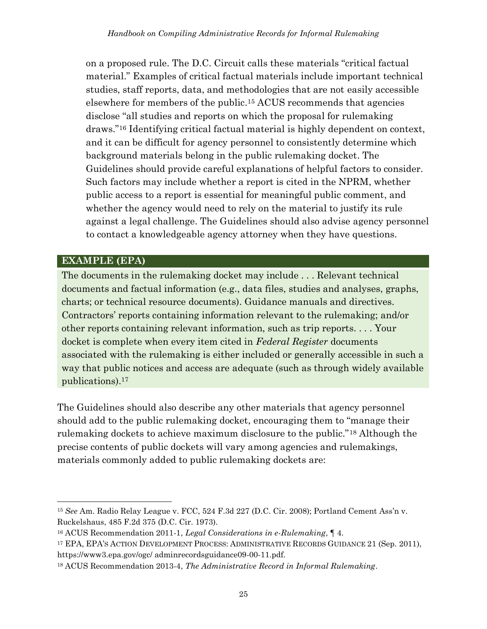on a proposed rule. The D.C. Circuit calls these materials "critical factual material." Examples of critical factual materials include important technical studies, staff reports, data, and methodologies that are not easily accessible elsewhere for members of the public. <sup>15</sup> ACUS recommends that agencies disclose "all studies and reports on which the proposal for rulemaking draws."<sup>16</sup> Identifying critical factual material is highly dependent on context, and it can be difficult for agency personnel to consistently determine which background materials belong in the public rulemaking docket. The Guidelines should provide careful explanations of helpful factors to consider. Such factors may include whether a report is cited in the NPRM, whether public access to a report is essential for meaningful public comment, and whether the agency would need to rely on the material to justify its rule against a legal challenge. The Guidelines should also advise agency personnel to contact a knowledgeable agency attorney when they have questions.

#### **EXAMPLE (EPA)**

The documents in the rulemaking docket may include . . . Relevant technical documents and factual information (e.g., data files, studies and analyses, graphs, charts; or technical resource documents). Guidance manuals and directives. Contractors' reports containing information relevant to the rulemaking; and/or other reports containing relevant information, such as trip reports. . . . Your docket is complete when every item cited in *Federal Register* documents associated with the rulemaking is either included or generally accessible in such a way that public notices and access are adequate (such as through widely available publications).<sup>17</sup>

The Guidelines should also describe any other materials that agency personnel should add to the public rulemaking docket, encouraging them to "manage their rulemaking dockets to achieve maximum disclosure to the public."<sup>18</sup> Although the precise contents of public dockets will vary among agencies and rulemakings, materials commonly added to public rulemaking dockets are:

<sup>15</sup> *See* Am. Radio Relay League v. FCC, 524 F.3d 227 (D.C. Cir. 2008); Portland Cement Ass'n v. Ruckelshaus, 485 F.2d 375 (D.C. Cir. 1973).

<sup>16</sup> ACUS Recommendation 2011-1, *Legal Considerations in e-Rulemaking*, ¶ 4.

<sup>17</sup> EPA, EPA'S ACTION DEVELOPMENT PROCESS: ADMINISTRATIVE RECORDS GUIDANCE 21 (Sep. 2011), https://www3.epa.gov/ogc/ adminrecordsguidance09-00-11.pdf.

<sup>18</sup> ACUS Recommendation 2013-4, *The Administrative Record in Informal Rulemaking*.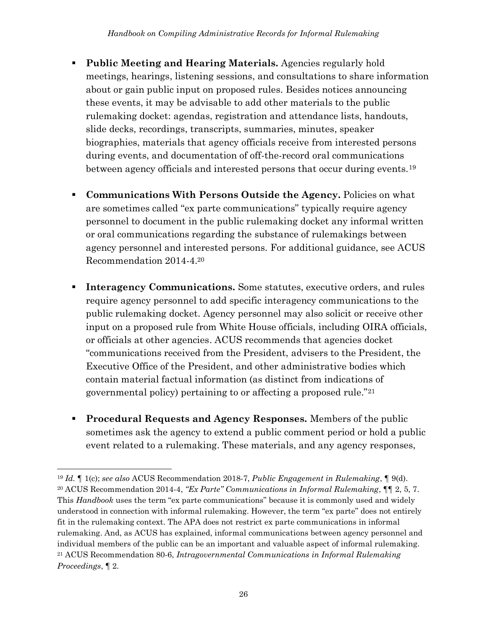- **Public Meeting and Hearing Materials.** Agencies regularly hold meetings, hearings, listening sessions, and consultations to share information about or gain public input on proposed rules. Besides notices announcing these events, it may be advisable to add other materials to the public rulemaking docket: agendas, registration and attendance lists, handouts, slide decks, recordings, transcripts, summaries, minutes, speaker biographies, materials that agency officials receive from interested persons during events, and documentation of off-the-record oral communications between agency officials and interested persons that occur during events.<sup>19</sup>
- **Communications With Persons Outside the Agency.** Policies on what are sometimes called "ex parte communications" typically require agency personnel to document in the public rulemaking docket any informal written or oral communications regarding the substance of rulemakings between agency personnel and interested persons. For additional guidance, see ACUS Recommendation 2014-4.<sup>20</sup>
- **Interagency Communications.** Some statutes, executive orders, and rules require agency personnel to add specific interagency communications to the public rulemaking docket. Agency personnel may also solicit or receive other input on a proposed rule from White House officials, including OIRA officials, or officials at other agencies. ACUS recommends that agencies docket "communications received from the President, advisers to the President, the Executive Office of the President, and other administrative bodies which contain material factual information (as distinct from indications of governmental policy) pertaining to or affecting a proposed rule."<sup>21</sup>
- **Procedural Requests and Agency Responses.** Members of the public sometimes ask the agency to extend a public comment period or hold a public event related to a rulemaking. These materials, and any agency responses,

<sup>19</sup> *Id.* ¶ 1(c); *see also* ACUS Recommendation 2018-7, *Public Engagement in Rulemaking*, ¶ 9(d). <sup>20</sup> ACUS Recommendation 2014-4, *"Ex Parte" Communications in Informal Rulemaking*, ¶¶ 2, 5, 7. This *Handbook* uses the term "ex parte communications" because it is commonly used and widely understood in connection with informal rulemaking. However, the term "ex parte" does not entirely fit in the rulemaking context. The APA does not restrict ex parte communications in informal rulemaking. And, as ACUS has explained, informal communications between agency personnel and individual members of the public can be an important and valuable aspect of informal rulemaking. <sup>21</sup> ACUS Recommendation 80-6, *Intragovernmental Communications in Informal Rulemaking Proceedings*, ¶ 2.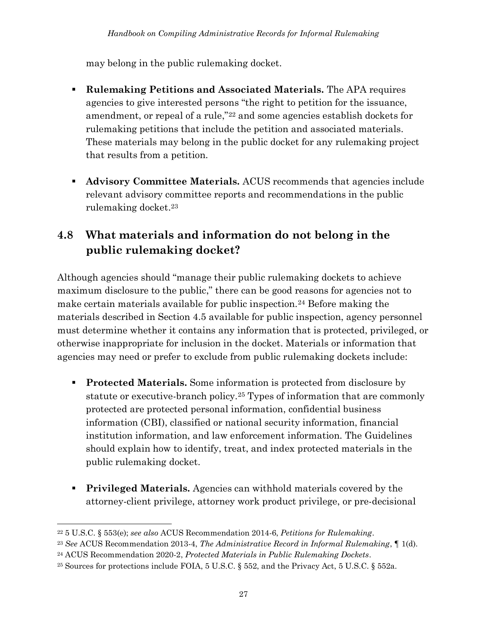may belong in the public rulemaking docket.

- **Rulemaking Petitions and Associated Materials.** The APA requires agencies to give interested persons "the right to petition for the issuance, amendment, or repeal of a rule,"<sup>22</sup> and some agencies establish dockets for rulemaking petitions that include the petition and associated materials. These materials may belong in the public docket for any rulemaking project that results from a petition.
- **Advisory Committee Materials.** ACUS recommends that agencies include relevant advisory committee reports and recommendations in the public rulemaking docket. 23

## **4.8 What materials and information do not belong in the public rulemaking docket?**

Although agencies should "manage their public rulemaking dockets to achieve maximum disclosure to the public," there can be good reasons for agencies not to make certain materials available for public inspection.<sup>24</sup> Before making the materials described in Section 4.5 available for public inspection, agency personnel must determine whether it contains any information that is protected, privileged, or otherwise inappropriate for inclusion in the docket. Materials or information that agencies may need or prefer to exclude from public rulemaking dockets include:

- **Protected Materials.** Some information is protected from disclosure by statute or executive-branch policy.<sup>25</sup> Types of information that are commonly protected are protected personal information, confidential business information (CBI), classified or national security information, financial institution information, and law enforcement information. The Guidelines should explain how to identify, treat, and index protected materials in the public rulemaking docket.
- **Privileged Materials.** Agencies can withhold materials covered by the attorney-client privilege, attorney work product privilege, or pre-decisional

<sup>22</sup> 5 U.S.C. § 553(e); *see also* ACUS Recommendation 2014-6, *Petitions for Rulemaking*.

<sup>23</sup> *See* ACUS Recommendation 2013-4, *The Administrative Record in Informal Rulemaking*, ¶ 1(d).

<sup>24</sup> ACUS Recommendation 2020-2, *Protected Materials in Public Rulemaking Dockets*.

<sup>25</sup> Sources for protections include FOIA, 5 U.S.C. § 552, and the Privacy Act, 5 U.S.C. § 552a.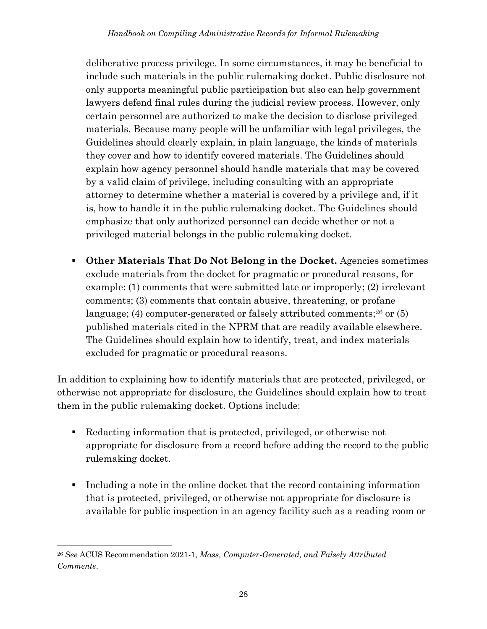deliberative process privilege. In some circumstances, it may be beneficial to include such materials in the public rulemaking docket. Public disclosure not only supports meaningful public participation but also can help government lawyers defend final rules during the judicial review process. However, only certain personnel are authorized to make the decision to disclose privileged materials. Because many people will be unfamiliar with legal privileges, the Guidelines should clearly explain, in plain language, the kinds of materials they cover and how to identify covered materials. The Guidelines should explain how agency personnel should handle materials that may be covered by a valid claim of privilege, including consulting with an appropriate attorney to determine whether a material is covered by a privilege and, if it is, how to handle it in the public rulemaking docket. The Guidelines should emphasize that only authorized personnel can decide whether or not a privileged material belongs in the public rulemaking docket.

▪ **Other Materials That Do Not Belong in the Docket.** Agencies sometimes exclude materials from the docket for pragmatic or procedural reasons, for example: (1) comments that were submitted late or improperly; (2) irrelevant comments; (3) comments that contain abusive, threatening, or profane language; (4) computer-generated or falsely attributed comments; <sup>26</sup> or (5) published materials cited in the NPRM that are readily available elsewhere. The Guidelines should explain how to identify, treat, and index materials excluded for pragmatic or procedural reasons.

In addition to explaining how to identify materials that are protected, privileged, or otherwise not appropriate for disclosure, the Guidelines should explain how to treat them in the public rulemaking docket. Options include:

- Redacting information that is protected, privileged, or otherwise not appropriate for disclosure from a record before adding the record to the public rulemaking docket.
- Including a note in the online docket that the record containing information that is protected, privileged, or otherwise not appropriate for disclosure is available for public inspection in an agency facility such as a reading room or

<sup>26</sup> *See* ACUS Recommendation 2021-1, *Mass, Computer-Generated, and Falsely Attributed Comments*.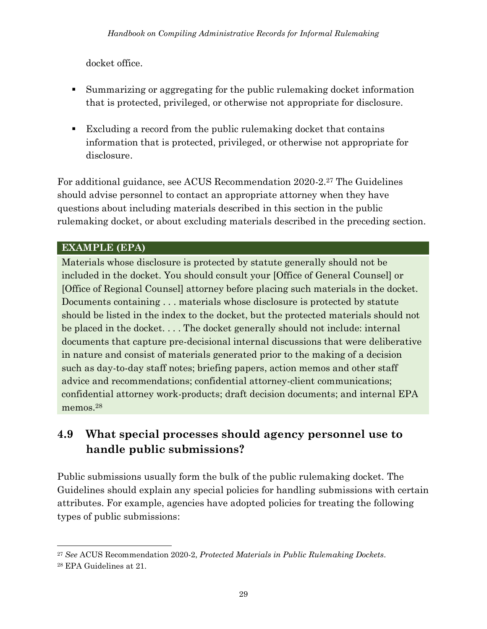docket office.

- Summarizing or aggregating for the public rulemaking docket information that is protected, privileged, or otherwise not appropriate for disclosure.
- Excluding a record from the public rulemaking docket that contains information that is protected, privileged, or otherwise not appropriate for disclosure.

For additional guidance, see ACUS Recommendation 2020-2.<sup>27</sup> The Guidelines should advise personnel to contact an appropriate attorney when they have questions about including materials described in this section in the public rulemaking docket, or about excluding materials described in the preceding section.

#### **EXAMPLE (EPA)**

Materials whose disclosure is protected by statute generally should not be included in the docket. You should consult your [Office of General Counsel] or [Office of Regional Counsel] attorney before placing such materials in the docket. Documents containing . . . materials whose disclosure is protected by statute should be listed in the index to the docket, but the protected materials should not be placed in the docket. . . . The docket generally should not include: internal documents that capture pre-decisional internal discussions that were deliberative in nature and consist of materials generated prior to the making of a decision such as day-to-day staff notes; briefing papers, action memos and other staff advice and recommendations; confidential attorney-client communications; confidential attorney work-products; draft decision documents; and internal EPA memos.<sup>28</sup>

## **4.9 What special processes should agency personnel use to handle public submissions?**

Public submissions usually form the bulk of the public rulemaking docket. The Guidelines should explain any special policies for handling submissions with certain attributes. For example, agencies have adopted policies for treating the following types of public submissions:

<sup>27</sup> *See* ACUS Recommendation 2020-2, *Protected Materials in Public Rulemaking Dockets*. <sup>28</sup> EPA Guidelines at 21.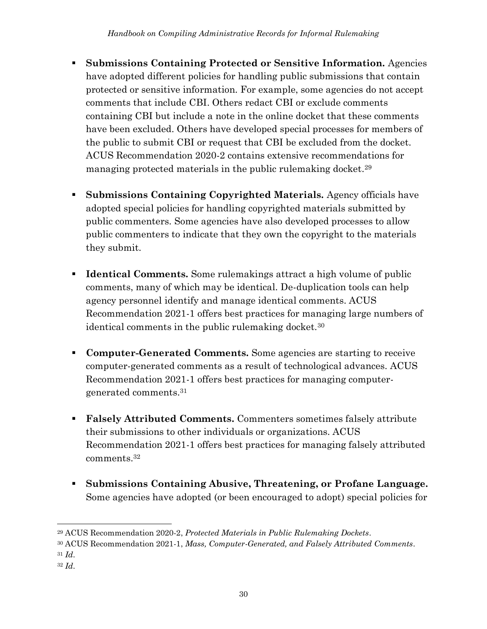- **Submissions Containing Protected or Sensitive Information.** Agencies have adopted different policies for handling public submissions that contain protected or sensitive information. For example, some agencies do not accept comments that include CBI. Others redact CBI or exclude comments containing CBI but include a note in the online docket that these comments have been excluded. Others have developed special processes for members of the public to submit CBI or request that CBI be excluded from the docket. ACUS Recommendation 2020-2 contains extensive recommendations for managing protected materials in the public rulemaking docket. 29
- **Submissions Containing Copyrighted Materials.** Agency officials have adopted special policies for handling copyrighted materials submitted by public commenters. Some agencies have also developed processes to allow public commenters to indicate that they own the copyright to the materials they submit.
- **Identical Comments.** Some rulemakings attract a high volume of public comments, many of which may be identical. De-duplication tools can help agency personnel identify and manage identical comments. ACUS Recommendation 2021-1 offers best practices for managing large numbers of identical comments in the public rulemaking docket.<sup>30</sup>
- **Computer-Generated Comments.** Some agencies are starting to receive computer-generated comments as a result of technological advances. ACUS Recommendation 2021-1 offers best practices for managing computergenerated comments.<sup>31</sup>
- **Falsely Attributed Comments.** Commenters sometimes falsely attribute their submissions to other individuals or organizations. ACUS Recommendation 2021-1 offers best practices for managing falsely attributed comments.<sup>32</sup>
- **Submissions Containing Abusive, Threatening, or Profane Language.** Some agencies have adopted (or been encouraged to adopt) special policies for

- 
- <sup>32</sup> *Id*.

<sup>29</sup> ACUS Recommendation 2020-2, *Protected Materials in Public Rulemaking Dockets*.

<sup>30</sup> ACUS Recommendation 2021-1, *Mass, Computer-Generated, and Falsely Attributed Comments*. <sup>31</sup> *Id*.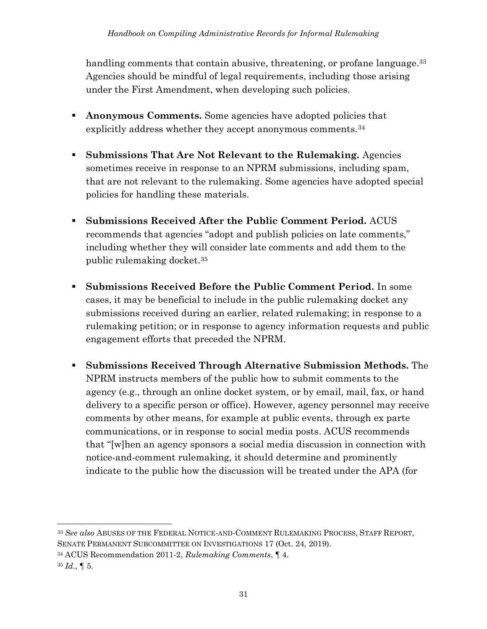handling comments that contain abusive, threatening, or profane language.<sup>33</sup> Agencies should be mindful of legal requirements, including those arising under the First Amendment, when developing such policies.

- **EXECUTE:** Anonymous Comments. Some agencies have adopted policies that explicitly address whether they accept anonymous comments.<sup>34</sup>
- **Submissions That Are Not Relevant to the Rulemaking.** Agencies sometimes receive in response to an NPRM submissions, including spam, that are not relevant to the rulemaking. Some agencies have adopted special policies for handling these materials.
- **Submissions Received After the Public Comment Period.** ACUS recommends that agencies "adopt and publish policies on late comments," including whether they will consider late comments and add them to the public rulemaking docket.<sup>35</sup>
- **Submissions Received Before the Public Comment Period.** In some cases, it may be beneficial to include in the public rulemaking docket any submissions received during an earlier, related rulemaking; in response to a rulemaking petition; or in response to agency information requests and public engagement efforts that preceded the NPRM.
- **Submissions Received Through Alternative Submission Methods.** The NPRM instructs members of the public how to submit comments to the agency (e.g., through an online docket system, or by email, mail, fax, or hand delivery to a specific person or office). However, agency personnel may receive comments by other means, for example at public events, through ex parte communications, or in response to social media posts. ACUS recommends that "[w]hen an agency sponsors a social media discussion in connection with notice-and-comment rulemaking, it should determine and prominently indicate to the public how the discussion will be treated under the APA (for

<sup>33</sup> *See also* ABUSES OF THE FEDERAL NOTICE-AND-COMMENT RULEMAKING PROCESS, STAFF REPORT, SENATE PERMANENT SUBCOMMITTEE ON INVESTIGATIONS 17 (Oct. 24, 2019).

<sup>34</sup> ACUS Recommendation 2011-2, *Rulemaking Comments*, ¶ 4.

 $35$  *Id.*, 1 5.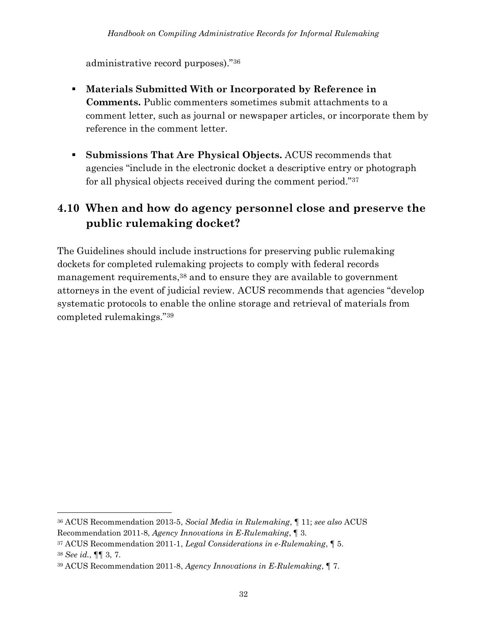administrative record purposes)."<sup>36</sup>

- **Materials Submitted With or Incorporated by Reference in Comments.** Public commenters sometimes submit attachments to a comment letter, such as journal or newspaper articles, or incorporate them by reference in the comment letter.
- **Submissions That Are Physical Objects.** ACUS recommends that agencies "include in the electronic docket a descriptive entry or photograph for all physical objects received during the comment period."<sup>37</sup>

#### **4.10 When and how do agency personnel close and preserve the public rulemaking docket?**

The Guidelines should include instructions for preserving public rulemaking dockets for completed rulemaking projects to comply with federal records management requirements, <sup>38</sup> and to ensure they are available to government attorneys in the event of judicial review. ACUS recommends that agencies "develop systematic protocols to enable the online storage and retrieval of materials from completed rulemakings."<sup>39</sup>

<sup>36</sup> ACUS Recommendation 2013-5, *Social Media in Rulemaking*, ¶ 11; *see also* ACUS Recommendation 2011-8, *Agency Innovations in E-Rulemaking*, ¶ 3.

<sup>37</sup> ACUS Recommendation 2011-1, *Legal Considerations in e-Rulemaking*, ¶ 5. <sup>38</sup> *See id.*, ¶¶ 3, 7.

<sup>39</sup> ACUS Recommendation 2011-8, *Agency Innovations in E-Rulemaking*, ¶ 7.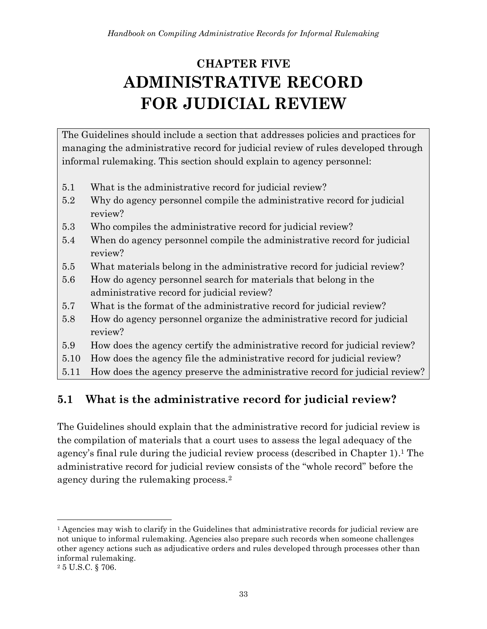# <span id="page-40-0"></span>**CHAPTER FIVE ADMINISTRATIVE RECORD FOR JUDICIAL REVIEW**

The Guidelines should include a section that addresses policies and practices for managing the administrative record for judicial review of rules developed through informal rulemaking. This section should explain to agency personnel:

- 5.1 What is the administrative record for judicial review?
- 5.2 Why do agency personnel compile the administrative record for judicial review?
- 5.3 Who compiles the administrative record for judicial review?
- 5.4 When do agency personnel compile the administrative record for judicial review?
- 5.5 What materials belong in the administrative record for judicial review?
- 5.6 How do agency personnel search for materials that belong in the administrative record for judicial review?
- 5.7 What is the format of the administrative record for judicial review?
- 5.8 How do agency personnel organize the administrative record for judicial review?
- 5.9 How does the agency certify the administrative record for judicial review?
- 5.10 How does the agency file the administrative record for judicial review?
- 5.11 How does the agency preserve the administrative record for judicial review?

# **5.1 What is the administrative record for judicial review?**

The Guidelines should explain that the administrative record for judicial review is the compilation of materials that a court uses to assess the legal adequacy of the agency's final rule during the judicial review process (described in Chapter 1). <sup>1</sup> The administrative record for judicial review consists of the "whole record" before the agency during the rulemaking process.<sup>2</sup>

<sup>&</sup>lt;sup>1</sup> Agencies may wish to clarify in the Guidelines that administrative records for judicial review are not unique to informal rulemaking. Agencies also prepare such records when someone challenges other agency actions such as adjudicative orders and rules developed through processes other than informal rulemaking.

<sup>2</sup> 5 U.S.C. § 706.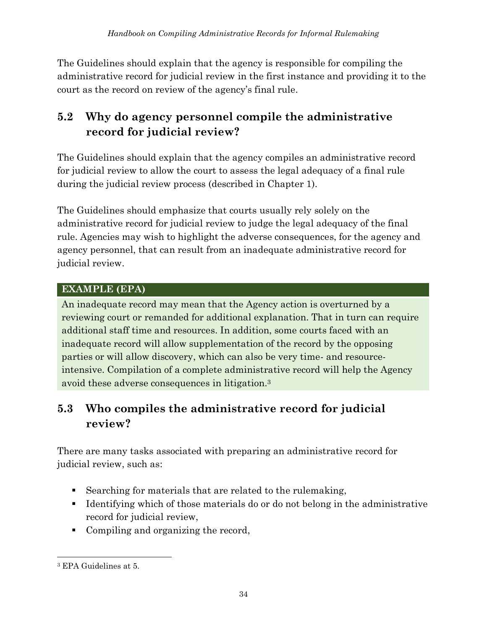The Guidelines should explain that the agency is responsible for compiling the administrative record for judicial review in the first instance and providing it to the court as the record on review of the agency's final rule.

## **5.2 Why do agency personnel compile the administrative record for judicial review?**

The Guidelines should explain that the agency compiles an administrative record for judicial review to allow the court to assess the legal adequacy of a final rule during the judicial review process (described in Chapter 1).

The Guidelines should emphasize that courts usually rely solely on the administrative record for judicial review to judge the legal adequacy of the final rule. Agencies may wish to highlight the adverse consequences, for the agency and agency personnel, that can result from an inadequate administrative record for judicial review.

#### **EXAMPLE (EPA)**

An inadequate record may mean that the Agency action is overturned by a reviewing court or remanded for additional explanation. That in turn can require additional staff time and resources. In addition, some courts faced with an inadequate record will allow supplementation of the record by the opposing parties or will allow discovery, which can also be very time- and resourceintensive. Compilation of a complete administrative record will help the Agency avoid these adverse consequences in litigation.<sup>3</sup>

## **5.3 Who compiles the administrative record for judicial review?**

There are many tasks associated with preparing an administrative record for judicial review, such as:

- Searching for materials that are related to the rulemaking,
- Identifying which of those materials do or do not belong in the administrative record for judicial review,
- Compiling and organizing the record,

<sup>3</sup> EPA Guidelines at 5.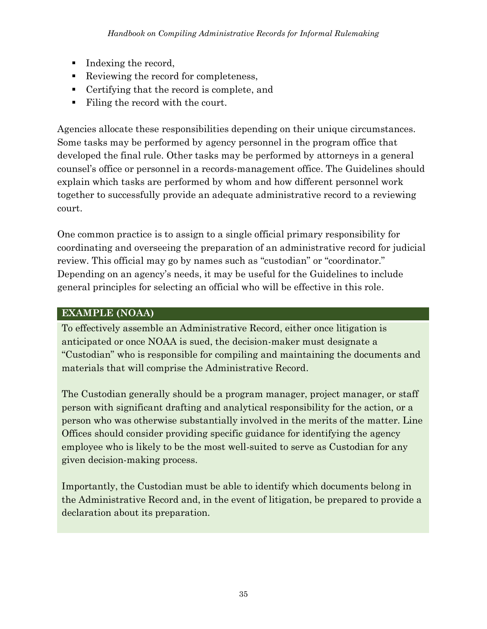- Indexing the record,
- Reviewing the record for completeness,
- Certifying that the record is complete, and
- Filing the record with the court.

Agencies allocate these responsibilities depending on their unique circumstances. Some tasks may be performed by agency personnel in the program office that developed the final rule. Other tasks may be performed by attorneys in a general counsel's office or personnel in a records-management office. The Guidelines should explain which tasks are performed by whom and how different personnel work together to successfully provide an adequate administrative record to a reviewing court.

One common practice is to assign to a single official primary responsibility for coordinating and overseeing the preparation of an administrative record for judicial review. This official may go by names such as "custodian" or "coordinator." Depending on an agency's needs, it may be useful for the Guidelines to include general principles for selecting an official who will be effective in this role.

#### **EXAMPLE (NOAA)**

To effectively assemble an Administrative Record, either once litigation is anticipated or once NOAA is sued, the decision-maker must designate a "Custodian" who is responsible for compiling and maintaining the documents and materials that will comprise the Administrative Record.

The Custodian generally should be a program manager, project manager, or staff person with significant drafting and analytical responsibility for the action, or a person who was otherwise substantially involved in the merits of the matter. Line Offices should consider providing specific guidance for identifying the agency employee who is likely to be the most well-suited to serve as Custodian for any given decision-making process.

Importantly, the Custodian must be able to identify which documents belong in the Administrative Record and, in the event of litigation, be prepared to provide a declaration about its preparation.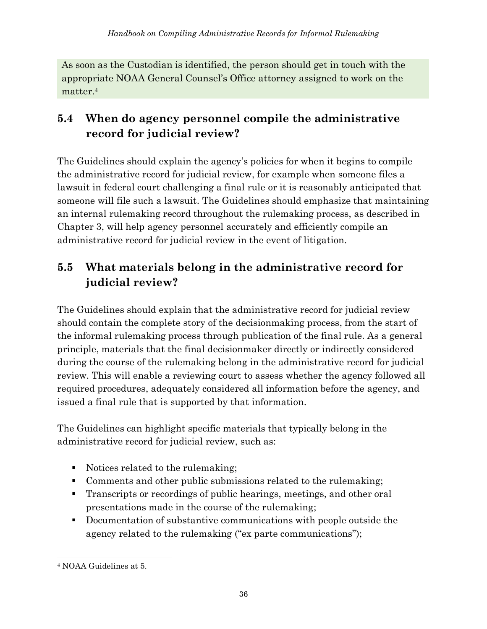As soon as the Custodian is identified, the person should get in touch with the appropriate NOAA General Counsel's Office attorney assigned to work on the matter. 4

## **5.4 When do agency personnel compile the administrative record for judicial review?**

The Guidelines should explain the agency's policies for when it begins to compile the administrative record for judicial review, for example when someone files a lawsuit in federal court challenging a final rule or it is reasonably anticipated that someone will file such a lawsuit. The Guidelines should emphasize that maintaining an internal rulemaking record throughout the rulemaking process, as described in Chapter 3, will help agency personnel accurately and efficiently compile an administrative record for judicial review in the event of litigation.

## **5.5 What materials belong in the administrative record for judicial review?**

The Guidelines should explain that the administrative record for judicial review should contain the complete story of the decisionmaking process, from the start of the informal rulemaking process through publication of the final rule. As a general principle, materials that the final decisionmaker directly or indirectly considered during the course of the rulemaking belong in the administrative record for judicial review. This will enable a reviewing court to assess whether the agency followed all required procedures, adequately considered all information before the agency, and issued a final rule that is supported by that information.

The Guidelines can highlight specific materials that typically belong in the administrative record for judicial review, such as:

- Notices related to the rulemaking;
- Comments and other public submissions related to the rulemaking;
- Transcripts or recordings of public hearings, meetings, and other oral presentations made in the course of the rulemaking;
- Documentation of substantive communications with people outside the agency related to the rulemaking ("ex parte communications");

<sup>4</sup> NOAA Guidelines at 5.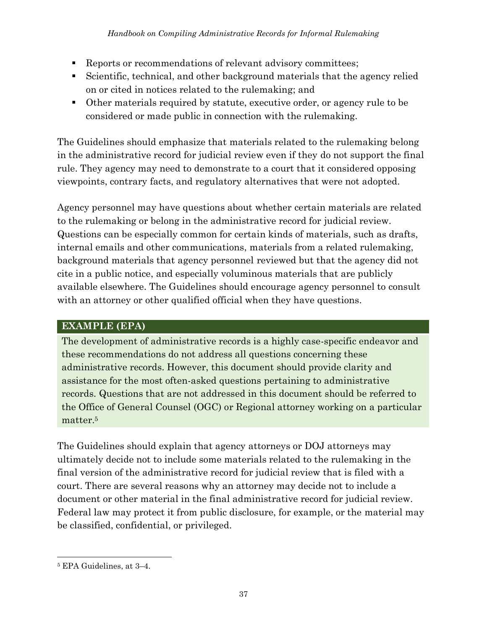- Reports or recommendations of relevant advisory committees;
- Scientific, technical, and other background materials that the agency relied on or cited in notices related to the rulemaking; and
- Other materials required by statute, executive order, or agency rule to be considered or made public in connection with the rulemaking.

The Guidelines should emphasize that materials related to the rulemaking belong in the administrative record for judicial review even if they do not support the final rule. They agency may need to demonstrate to a court that it considered opposing viewpoints, contrary facts, and regulatory alternatives that were not adopted.

Agency personnel may have questions about whether certain materials are related to the rulemaking or belong in the administrative record for judicial review. Questions can be especially common for certain kinds of materials, such as drafts, internal emails and other communications, materials from a related rulemaking, background materials that agency personnel reviewed but that the agency did not cite in a public notice, and especially voluminous materials that are publicly available elsewhere. The Guidelines should encourage agency personnel to consult with an attorney or other qualified official when they have questions.

#### **EXAMPLE (EPA)**

The development of administrative records is a highly case-specific endeavor and these recommendations do not address all questions concerning these administrative records. However, this document should provide clarity and assistance for the most often-asked questions pertaining to administrative records. Questions that are not addressed in this document should be referred to the Office of General Counsel (OGC) or Regional attorney working on a particular matter. 5

The Guidelines should explain that agency attorneys or DOJ attorneys may ultimately decide not to include some materials related to the rulemaking in the final version of the administrative record for judicial review that is filed with a court. There are several reasons why an attorney may decide not to include a document or other material in the final administrative record for judicial review. Federal law may protect it from public disclosure, for example, or the material may be classified, confidential, or privileged.

<sup>5</sup> EPA Guidelines, at 3–4.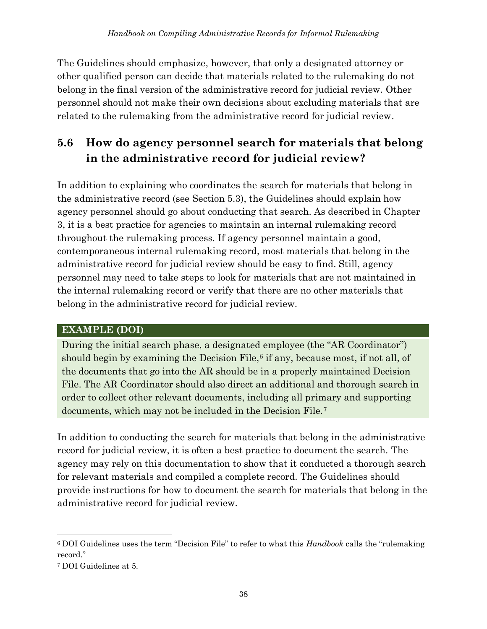The Guidelines should emphasize, however, that only a designated attorney or other qualified person can decide that materials related to the rulemaking do not belong in the final version of the administrative record for judicial review. Other personnel should not make their own decisions about excluding materials that are related to the rulemaking from the administrative record for judicial review.

## **5.6 How do agency personnel search for materials that belong in the administrative record for judicial review?**

In addition to explaining who coordinates the search for materials that belong in the administrative record (see Section 5.3), the Guidelines should explain how agency personnel should go about conducting that search. As described in Chapter 3, it is a best practice for agencies to maintain an internal rulemaking record throughout the rulemaking process. If agency personnel maintain a good, contemporaneous internal rulemaking record, most materials that belong in the administrative record for judicial review should be easy to find. Still, agency personnel may need to take steps to look for materials that are not maintained in the internal rulemaking record or verify that there are no other materials that belong in the administrative record for judicial review.

#### **EXAMPLE (DOI)**

During the initial search phase, a designated employee (the "AR Coordinator") should begin by examining the Decision File, $6$  if any, because most, if not all, of the documents that go into the AR should be in a properly maintained Decision File. The AR Coordinator should also direct an additional and thorough search in order to collect other relevant documents, including all primary and supporting documents, which may not be included in the Decision File.<sup>7</sup>

In addition to conducting the search for materials that belong in the administrative record for judicial review, it is often a best practice to document the search. The agency may rely on this documentation to show that it conducted a thorough search for relevant materials and compiled a complete record. The Guidelines should provide instructions for how to document the search for materials that belong in the administrative record for judicial review.

<sup>6</sup> DOI Guidelines uses the term "Decision File" to refer to what this *Handbook* calls the "rulemaking record."

<sup>7</sup> DOI Guidelines at 5.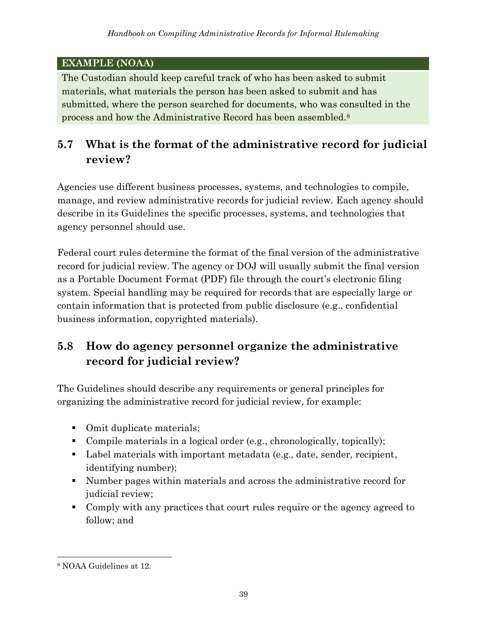#### **EXAMPLE (NOAA)**

The Custodian should keep careful track of who has been asked to submit materials, what materials the person has been asked to submit and has submitted, where the person searched for documents, who was consulted in the process and how the Administrative Record has been assembled. 8

## **5.7 What is the format of the administrative record for judicial review?**

Agencies use different business processes, systems, and technologies to compile, manage, and review administrative records for judicial review. Each agency should describe in its Guidelines the specific processes, systems, and technologies that agency personnel should use.

Federal court rules determine the format of the final version of the administrative record for judicial review. The agency or DOJ will usually submit the final version as a Portable Document Format (PDF) file through the court's electronic filing system. Special handling may be required for records that are especially large or contain information that is protected from public disclosure (e.g., confidential business information, copyrighted materials).

# **5.8 How do agency personnel organize the administrative record for judicial review?**

The Guidelines should describe any requirements or general principles for organizing the administrative record for judicial review, for example:

- Omit duplicate materials;
- Compile materials in a logical order (e.g., chronologically, topically);
- Label materials with important metadata (e.g., date, sender, recipient, identifying number);
- Number pages within materials and across the administrative record for judicial review;
- Comply with any practices that court rules require or the agency agreed to follow; and

<sup>8</sup> NOAA Guidelines at 12.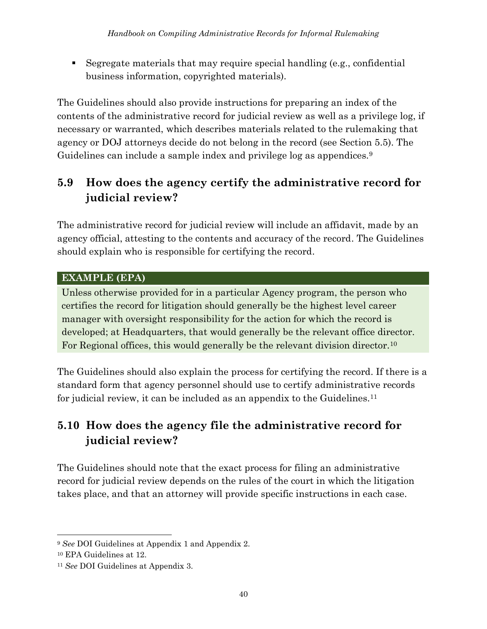▪ Segregate materials that may require special handling (e.g., confidential business information, copyrighted materials).

The Guidelines should also provide instructions for preparing an index of the contents of the administrative record for judicial review as well as a privilege log, if necessary or warranted, which describes materials related to the rulemaking that agency or DOJ attorneys decide do not belong in the record (see Section 5.5). The Guidelines can include a sample index and privilege log as appendices.<sup>9</sup>

## **5.9 How does the agency certify the administrative record for judicial review?**

The administrative record for judicial review will include an affidavit, made by an agency official, attesting to the contents and accuracy of the record. The Guidelines should explain who is responsible for certifying the record.

#### **EXAMPLE (EPA)**

Unless otherwise provided for in a particular Agency program, the person who certifies the record for litigation should generally be the highest level career manager with oversight responsibility for the action for which the record is developed; at Headquarters, that would generally be the relevant office director. For Regional offices, this would generally be the relevant division director.<sup>10</sup>

The Guidelines should also explain the process for certifying the record. If there is a standard form that agency personnel should use to certify administrative records for judicial review, it can be included as an appendix to the Guidelines. 11

# **5.10 How does the agency file the administrative record for judicial review?**

The Guidelines should note that the exact process for filing an administrative record for judicial review depends on the rules of the court in which the litigation takes place, and that an attorney will provide specific instructions in each case.

<sup>9</sup> *See* DOI Guidelines at Appendix 1 and Appendix 2.

<sup>10</sup> EPA Guidelines at 12.

<sup>11</sup> *See* DOI Guidelines at Appendix 3.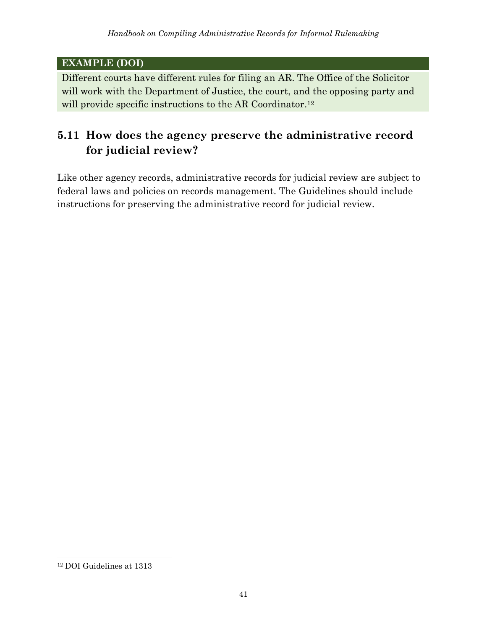#### **EXAMPLE (DOI)**

Different courts have different rules for filing an AR. The Office of the Solicitor will work with the Department of Justice, the court, and the opposing party and will provide specific instructions to the AR Coordinator.<sup>12</sup>

## **5.11 How does the agency preserve the administrative record for judicial review?**

Like other agency records, administrative records for judicial review are subject to federal laws and policies on records management. The Guidelines should include instructions for preserving the administrative record for judicial review.

<sup>12</sup> DOI Guidelines at 1313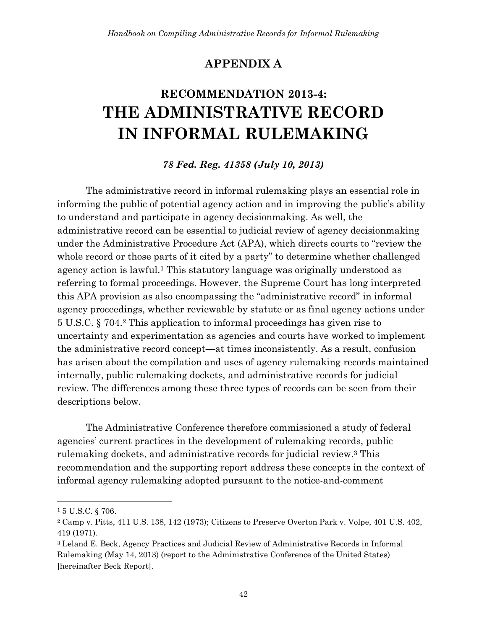#### **APPENDIX A**

# <span id="page-49-0"></span>**RECOMMENDATION 2013-4: THE ADMINISTRATIVE RECORD IN INFORMAL RULEMAKING**

#### *78 Fed. Reg. 41358 (July 10, 2013)*

The administrative record in informal rulemaking plays an essential role in informing the public of potential agency action and in improving the public's ability to understand and participate in agency decisionmaking. As well, the administrative record can be essential to judicial review of agency decisionmaking under the Administrative Procedure Act (APA), which directs courts to "review the whole record or those parts of it cited by a party" to determine whether challenged agency action is lawful.<sup>1</sup> This statutory language was originally understood as referring to formal proceedings. However, the Supreme Court has long interpreted this APA provision as also encompassing the "administrative record" in informal agency proceedings, whether reviewable by statute or as final agency actions under 5 U.S.C. § 704.<sup>2</sup> This application to informal proceedings has given rise to uncertainty and experimentation as agencies and courts have worked to implement the administrative record concept—at times inconsistently. As a result, confusion has arisen about the compilation and uses of agency rulemaking records maintained internally, public rulemaking dockets, and administrative records for judicial review. The differences among these three types of records can be seen from their descriptions below.

The Administrative Conference therefore commissioned a study of federal agencies' current practices in the development of rulemaking records, public rulemaking dockets, and administrative records for judicial review.<sup>3</sup> This recommendation and the supporting report address these concepts in the context of informal agency rulemaking adopted pursuant to the notice-and-comment

<sup>1</sup> 5 U.S.C. § 706.

<sup>2</sup> Camp v. Pitts, 411 U.S. 138, 142 (1973); Citizens to Preserve Overton Park v. Volpe, 401 U.S. 402, 419 (1971).

<sup>3</sup> Leland E. Beck, Agency Practices and Judicial Review of Administrative Records in Informal Rulemaking (May 14, 2013) (report to the Administrative Conference of the United States) [hereinafter Beck Report].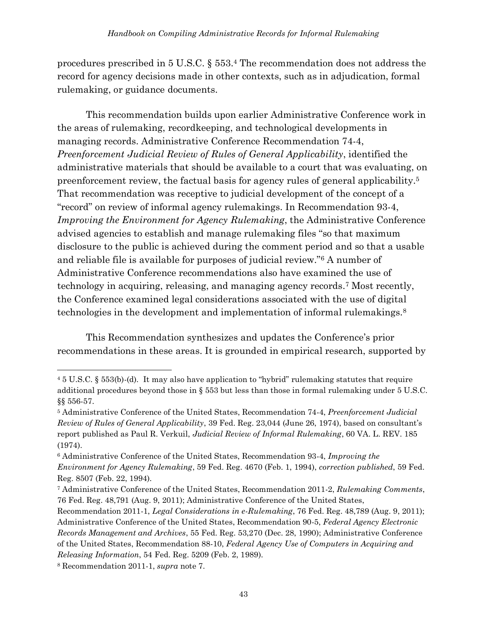procedures prescribed in 5 U.S.C. § 553.<sup>4</sup> The recommendation does not address the record for agency decisions made in other contexts, such as in adjudication, formal rulemaking, or guidance documents.

This recommendation builds upon earlier Administrative Conference work in the areas of rulemaking, recordkeeping, and technological developments in managing records. Administrative Conference Recommendation 74-4, *Preenforcement Judicial Review of Rules of General Applicability*, identified the administrative materials that should be available to a court that was evaluating, on preenforcement review, the factual basis for agency rules of general applicability.<sup>5</sup> That recommendation was receptive to judicial development of the concept of a "record" on review of informal agency rulemakings. In Recommendation 93-4, *Improving the Environment for Agency Rulemaking*, the Administrative Conference advised agencies to establish and manage rulemaking files "so that maximum disclosure to the public is achieved during the comment period and so that a usable and reliable file is available for purposes of judicial review."<sup>6</sup> A number of Administrative Conference recommendations also have examined the use of technology in acquiring, releasing, and managing agency records.<sup>7</sup> Most recently, the Conference examined legal considerations associated with the use of digital technologies in the development and implementation of informal rulemakings.<sup>8</sup>

This Recommendation synthesizes and updates the Conference's prior recommendations in these areas. It is grounded in empirical research, supported by

<sup>4</sup> 5 U.S.C. § 553(b)-(d). It may also have application to "hybrid" rulemaking statutes that require additional procedures beyond those in § 553 but less than those in formal rulemaking under 5 U.S.C. §§ 556-57.

<sup>5</sup> Administrative Conference of the United States, Recommendation 74-4, *Preenforcement Judicial Review of Rules of General Applicability*, 39 Fed. Reg. 23,044 (June 26, 1974), based on consultant's report published as Paul R. Verkuil, *Judicial Review of Informal Rulemaking*, 60 VA. L. REV. 185 (1974).

<sup>6</sup> Administrative Conference of the United States, Recommendation 93-4, *Improving the Environment for Agency Rulemaking*, 59 Fed. Reg. 4670 (Feb. 1, 1994), *correction published*, 59 Fed. Reg. 8507 (Feb. 22, 1994).

<sup>7</sup> Administrative Conference of the United States, Recommendation 2011-2, *Rulemaking Comments*, 76 Fed. Reg. 48,791 (Aug. 9, 2011); Administrative Conference of the United States,

Recommendation 2011-1, *Legal Considerations in e-Rulemaking*, 76 Fed. Reg. 48,789 (Aug. 9, 2011); Administrative Conference of the United States, Recommendation 90-5, *Federal Agency Electronic Records Management and Archives*, 55 Fed. Reg. 53,270 (Dec. 28, 1990); Administrative Conference of the United States, Recommendation 88-10, *Federal Agency Use of Computers in Acquiring and Releasing Information*, 54 Fed. Reg. 5209 (Feb. 2, 1989).

<sup>8</sup> Recommendation 2011-1, *supra* note 7.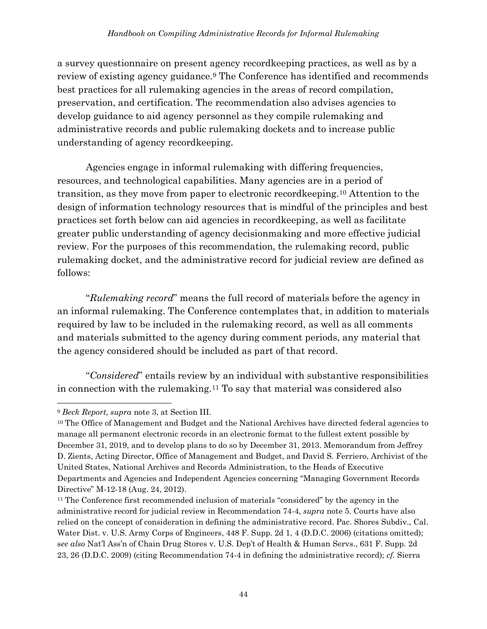a survey questionnaire on present agency recordkeeping practices, as well as by a review of existing agency guidance.<sup>9</sup> The Conference has identified and recommends best practices for all rulemaking agencies in the areas of record compilation, preservation, and certification. The recommendation also advises agencies to develop guidance to aid agency personnel as they compile rulemaking and administrative records and public rulemaking dockets and to increase public understanding of agency recordkeeping.

Agencies engage in informal rulemaking with differing frequencies, resources, and technological capabilities. Many agencies are in a period of transition, as they move from paper to electronic recordkeeping.<sup>10</sup> Attention to the design of information technology resources that is mindful of the principles and best practices set forth below can aid agencies in recordkeeping, as well as facilitate greater public understanding of agency decisionmaking and more effective judicial review. For the purposes of this recommendation, the rulemaking record, public rulemaking docket, and the administrative record for judicial review are defined as follows:

"*Rulemaking record*" means the full record of materials before the agency in an informal rulemaking. The Conference contemplates that, in addition to materials required by law to be included in the rulemaking record, as well as all comments and materials submitted to the agency during comment periods, any material that the agency considered should be included as part of that record.

"*Considered*" entails review by an individual with substantive responsibilities in connection with the rulemaking.<sup>11</sup> To say that material was considered also

<sup>9</sup> *Beck Report, supra* note 3, at Section III.

<sup>&</sup>lt;sup>10</sup> The Office of Management and Budget and the National Archives have directed federal agencies to manage all permanent electronic records in an electronic format to the fullest extent possible by December 31, 2019, and to develop plans to do so by December 31, 2013. Memorandum from Jeffrey D. Zients, Acting Director, Office of Management and Budget, and David S. Ferriero, Archivist of the United States, National Archives and Records Administration, to the Heads of Executive Departments and Agencies and Independent Agencies concerning "Managing Government Records Directive" M-12-18 (Aug. 24, 2012).

<sup>&</sup>lt;sup>11</sup> The Conference first recommended inclusion of materials "considered" by the agency in the administrative record for judicial review in Recommendation 74-4, *supra* note 5. Courts have also relied on the concept of consideration in defining the administrative record. Pac. Shores Subdiv., Cal. Water Dist. v. U.S. Army Corps of Engineers, 448 F. Supp. 2d 1, 4 (D.D.C. 2006) (citations omitted); s*ee also* Nat'l Ass'n of Chain Drug Stores v. U.S. Dep't of Health & Human Servs., 631 F. Supp. 2d 23, 26 (D.D.C. 2009) (citing Recommendation 74-4 in defining the administrative record); *cf.* Sierra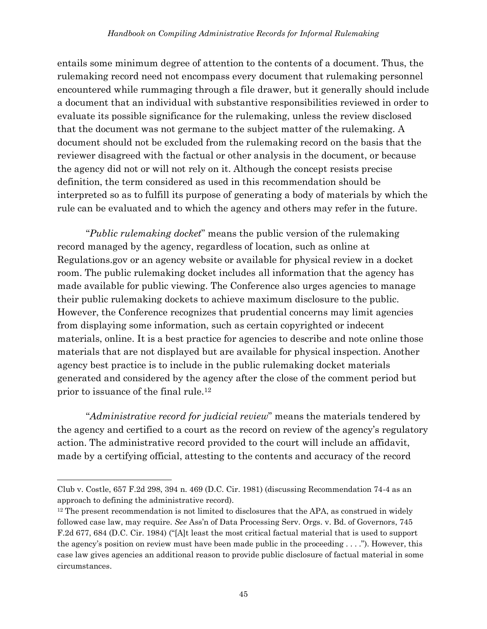entails some minimum degree of attention to the contents of a document. Thus, the rulemaking record need not encompass every document that rulemaking personnel encountered while rummaging through a file drawer, but it generally should include a document that an individual with substantive responsibilities reviewed in order to evaluate its possible significance for the rulemaking, unless the review disclosed that the document was not germane to the subject matter of the rulemaking. A document should not be excluded from the rulemaking record on the basis that the reviewer disagreed with the factual or other analysis in the document, or because the agency did not or will not rely on it. Although the concept resists precise definition, the term considered as used in this recommendation should be interpreted so as to fulfill its purpose of generating a body of materials by which the rule can be evaluated and to which the agency and others may refer in the future.

"*Public rulemaking docket*" means the public version of the rulemaking record managed by the agency, regardless of location, such as online at Regulations.gov or an agency website or available for physical review in a docket room. The public rulemaking docket includes all information that the agency has made available for public viewing. The Conference also urges agencies to manage their public rulemaking dockets to achieve maximum disclosure to the public. However, the Conference recognizes that prudential concerns may limit agencies from displaying some information, such as certain copyrighted or indecent materials, online. It is a best practice for agencies to describe and note online those materials that are not displayed but are available for physical inspection. Another agency best practice is to include in the public rulemaking docket materials generated and considered by the agency after the close of the comment period but prior to issuance of the final rule.<sup>12</sup>

"*Administrative record for judicial review*" means the materials tendered by the agency and certified to a court as the record on review of the agency's regulatory action. The administrative record provided to the court will include an affidavit, made by a certifying official, attesting to the contents and accuracy of the record

Club v. Costle, 657 F.2d 298, 394 n. 469 (D.C. Cir. 1981) (discussing Recommendation 74-4 as an approach to defining the administrative record).

<sup>&</sup>lt;sup>12</sup> The present recommendation is not limited to disclosures that the APA, as construed in widely followed case law, may require. *See* Ass'n of Data Processing Serv. Orgs. v. Bd. of Governors, 745 F.2d 677, 684 (D.C. Cir. 1984) ("[A]t least the most critical factual material that is used to support the agency's position on review must have been made public in the proceeding . . . ."). However, this case law gives agencies an additional reason to provide public disclosure of factual material in some circumstances.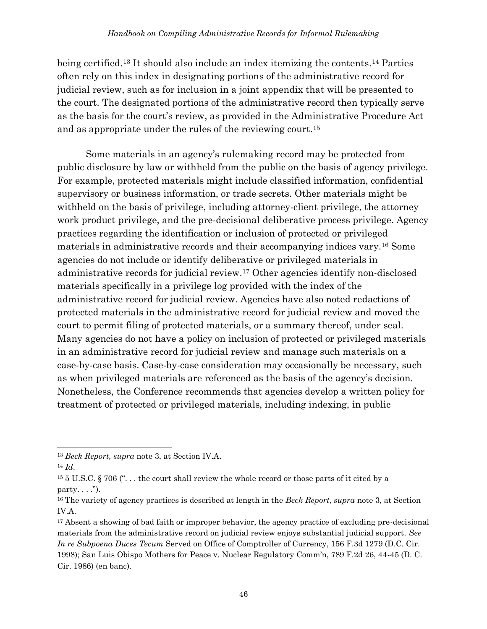being certified.<sup>13</sup> It should also include an index itemizing the contents.<sup>14</sup> Parties often rely on this index in designating portions of the administrative record for judicial review, such as for inclusion in a joint appendix that will be presented to the court. The designated portions of the administrative record then typically serve as the basis for the court's review, as provided in the Administrative Procedure Act and as appropriate under the rules of the reviewing court.<sup>15</sup>

Some materials in an agency's rulemaking record may be protected from public disclosure by law or withheld from the public on the basis of agency privilege. For example, protected materials might include classified information, confidential supervisory or business information, or trade secrets. Other materials might be withheld on the basis of privilege, including attorney-client privilege, the attorney work product privilege, and the pre-decisional deliberative process privilege. Agency practices regarding the identification or inclusion of protected or privileged materials in administrative records and their accompanying indices vary.<sup>16</sup> Some agencies do not include or identify deliberative or privileged materials in administrative records for judicial review.<sup>17</sup> Other agencies identify non-disclosed materials specifically in a privilege log provided with the index of the administrative record for judicial review. Agencies have also noted redactions of protected materials in the administrative record for judicial review and moved the court to permit filing of protected materials, or a summary thereof, under seal. Many agencies do not have a policy on inclusion of protected or privileged materials in an administrative record for judicial review and manage such materials on a case-by-case basis. Case-by-case consideration may occasionally be necessary, such as when privileged materials are referenced as the basis of the agency's decision. Nonetheless, the Conference recommends that agencies develop a written policy for treatment of protected or privileged materials, including indexing, in public

<sup>13</sup> *Beck Report, supra* note 3, at Section IV.A.

<sup>14</sup> *Id*.

<sup>15</sup> 5 U.S.C. § 706 (". . . the court shall review the whole record or those parts of it cited by a party.  $\ldots$ ").

<sup>16</sup> The variety of agency practices is described at length in the *Beck Report, supra* note 3, at Section IV.A.

<sup>&</sup>lt;sup>17</sup> Absent a showing of bad faith or improper behavior, the agency practice of excluding pre-decisional materials from the administrative record on judicial review enjoys substantial judicial support. *See In re Subpoena Duces Tecum* Served on Office of Comptroller of Currency, 156 F.3d 1279 (D.C. Cir. 1998); San Luis Obispo Mothers for Peace v. Nuclear Regulatory Comm'n, 789 F.2d 26, 44-45 (D. C. Cir. 1986) (en banc).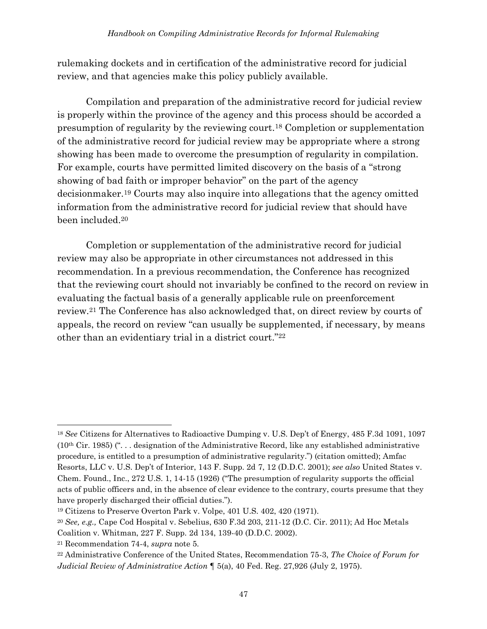rulemaking dockets and in certification of the administrative record for judicial review, and that agencies make this policy publicly available.

Compilation and preparation of the administrative record for judicial review is properly within the province of the agency and this process should be accorded a presumption of regularity by the reviewing court.<sup>18</sup> Completion or supplementation of the administrative record for judicial review may be appropriate where a strong showing has been made to overcome the presumption of regularity in compilation. For example, courts have permitted limited discovery on the basis of a "strong showing of bad faith or improper behavior" on the part of the agency decisionmaker.<sup>19</sup> Courts may also inquire into allegations that the agency omitted information from the administrative record for judicial review that should have been included.<sup>20</sup>

Completion or supplementation of the administrative record for judicial review may also be appropriate in other circumstances not addressed in this recommendation. In a previous recommendation, the Conference has recognized that the reviewing court should not invariably be confined to the record on review in evaluating the factual basis of a generally applicable rule on preenforcement review.<sup>21</sup> The Conference has also acknowledged that, on direct review by courts of appeals, the record on review "can usually be supplemented, if necessary, by means other than an evidentiary trial in a district court."<sup>22</sup>

<sup>18</sup> *See* Citizens for Alternatives to Radioactive Dumping v. U.S. Dep't of Energy, 485 F.3d 1091, 1097  $(10<sup>th</sup> Cir. 1985)$  ("... designation of the Administrative Record, like any established administrative procedure, is entitled to a presumption of administrative regularity.") (citation omitted); Amfac Resorts, LLC v. U.S. Dep't of Interior, 143 F. Supp. 2d 7, 12 (D.D.C. 2001); *see also* United States v. Chem. Found., Inc., 272 U.S. 1, 14-15 (1926) ("The presumption of regularity supports the official acts of public officers and, in the absence of clear evidence to the contrary, courts presume that they have properly discharged their official duties.").

<sup>19</sup> Citizens to Preserve Overton Park v. Volpe, 401 U.S. 402, 420 (1971).

<sup>20</sup> *See, e.g.,* Cape Cod Hospital v. Sebelius, 630 F.3d 203, 211-12 (D.C. Cir. 2011); Ad Hoc Metals

Coalition v. Whitman, 227 F. Supp. 2d 134, 139-40 (D.D.C. 2002).

<sup>21</sup> Recommendation 74-4, *supra* note 5.

<sup>22</sup> Administrative Conference of the United States, Recommendation 75-3, *The Choice of Forum for Judicial Review of Administrative Action* ¶ 5(a), 40 Fed. Reg. 27,926 (July 2, 1975).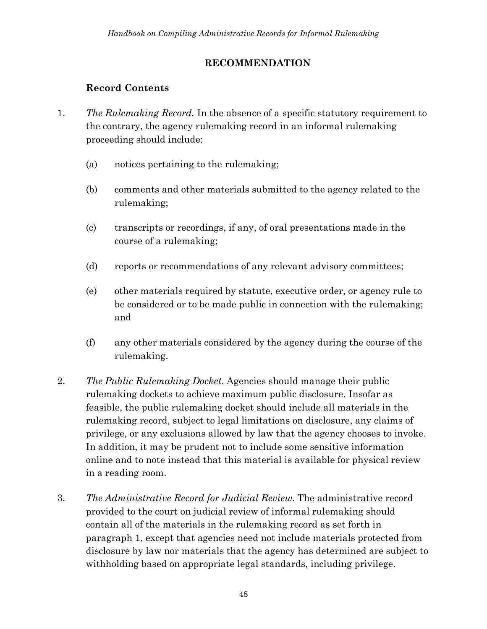#### **RECOMMENDATION**

#### **Record Contents**

- 1. *The Rulemaking Record.* In the absence of a specific statutory requirement to the contrary, the agency rulemaking record in an informal rulemaking proceeding should include:
	- (a) notices pertaining to the rulemaking;
	- (b) comments and other materials submitted to the agency related to the rulemaking;
	- (c) transcripts or recordings, if any, of oral presentations made in the course of a rulemaking;
	- (d) reports or recommendations of any relevant advisory committees;
	- (e) other materials required by statute, executive order, or agency rule to be considered or to be made public in connection with the rulemaking; and
	- (f) any other materials considered by the agency during the course of the rulemaking.
- 2. *The Public Rulemaking Docket*. Agencies should manage their public rulemaking dockets to achieve maximum public disclosure. Insofar as feasible, the public rulemaking docket should include all materials in the rulemaking record, subject to legal limitations on disclosure, any claims of privilege, or any exclusions allowed by law that the agency chooses to invoke. In addition, it may be prudent not to include some sensitive information online and to note instead that this material is available for physical review in a reading room.
- 3. *The Administrative Record for Judicial Review.* The administrative record provided to the court on judicial review of informal rulemaking should contain all of the materials in the rulemaking record as set forth in paragraph 1, except that agencies need not include materials protected from disclosure by law nor materials that the agency has determined are subject to withholding based on appropriate legal standards, including privilege.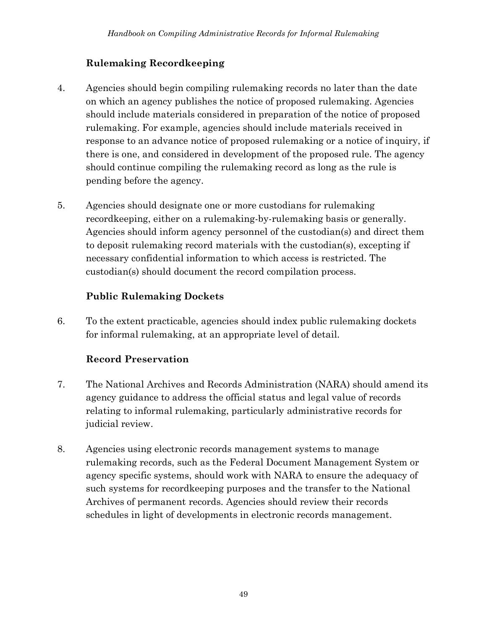#### **Rulemaking Recordkeeping**

- 4. Agencies should begin compiling rulemaking records no later than the date on which an agency publishes the notice of proposed rulemaking. Agencies should include materials considered in preparation of the notice of proposed rulemaking. For example, agencies should include materials received in response to an advance notice of proposed rulemaking or a notice of inquiry, if there is one, and considered in development of the proposed rule. The agency should continue compiling the rulemaking record as long as the rule is pending before the agency.
- 5. Agencies should designate one or more custodians for rulemaking recordkeeping, either on a rulemaking-by-rulemaking basis or generally. Agencies should inform agency personnel of the custodian(s) and direct them to deposit rulemaking record materials with the custodian(s), excepting if necessary confidential information to which access is restricted. The custodian(s) should document the record compilation process.

#### **Public Rulemaking Dockets**

6. To the extent practicable, agencies should index public rulemaking dockets for informal rulemaking, at an appropriate level of detail.

#### **Record Preservation**

- 7. The National Archives and Records Administration (NARA) should amend its agency guidance to address the official status and legal value of records relating to informal rulemaking, particularly administrative records for judicial review.
- 8. Agencies using electronic records management systems to manage rulemaking records, such as the Federal Document Management System or agency specific systems, should work with NARA to ensure the adequacy of such systems for recordkeeping purposes and the transfer to the National Archives of permanent records. Agencies should review their records schedules in light of developments in electronic records management.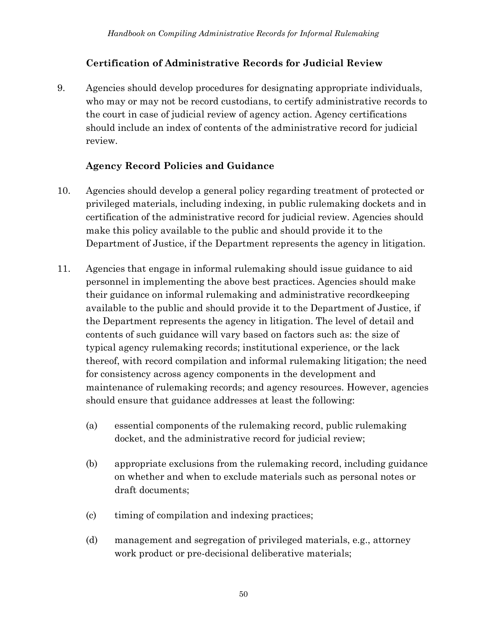#### **Certification of Administrative Records for Judicial Review**

9. Agencies should develop procedures for designating appropriate individuals, who may or may not be record custodians, to certify administrative records to the court in case of judicial review of agency action. Agency certifications should include an index of contents of the administrative record for judicial review.

#### **Agency Record Policies and Guidance**

- 10. Agencies should develop a general policy regarding treatment of protected or privileged materials, including indexing, in public rulemaking dockets and in certification of the administrative record for judicial review. Agencies should make this policy available to the public and should provide it to the Department of Justice, if the Department represents the agency in litigation.
- 11. Agencies that engage in informal rulemaking should issue guidance to aid personnel in implementing the above best practices. Agencies should make their guidance on informal rulemaking and administrative recordkeeping available to the public and should provide it to the Department of Justice, if the Department represents the agency in litigation. The level of detail and contents of such guidance will vary based on factors such as: the size of typical agency rulemaking records; institutional experience, or the lack thereof, with record compilation and informal rulemaking litigation; the need for consistency across agency components in the development and maintenance of rulemaking records; and agency resources. However, agencies should ensure that guidance addresses at least the following:
	- (a) essential components of the rulemaking record, public rulemaking docket, and the administrative record for judicial review;
	- (b) appropriate exclusions from the rulemaking record, including guidance on whether and when to exclude materials such as personal notes or draft documents;
	- (c) timing of compilation and indexing practices;
	- (d) management and segregation of privileged materials, e.g., attorney work product or pre-decisional deliberative materials;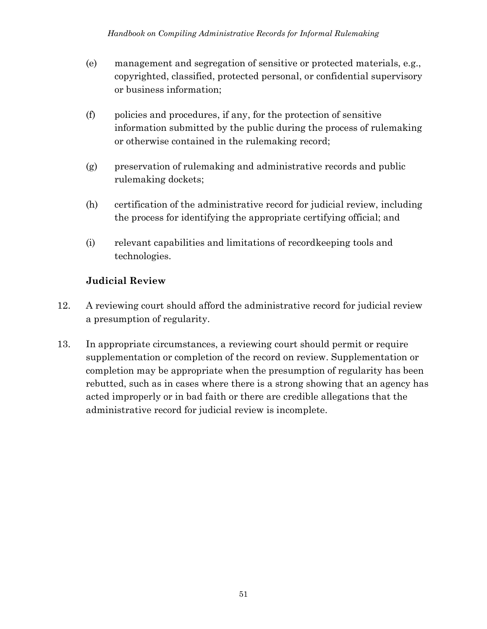- (e) management and segregation of sensitive or protected materials, e.g., copyrighted, classified, protected personal, or confidential supervisory or business information;
- (f) policies and procedures, if any, for the protection of sensitive information submitted by the public during the process of rulemaking or otherwise contained in the rulemaking record;
- (g) preservation of rulemaking and administrative records and public rulemaking dockets;
- (h) certification of the administrative record for judicial review, including the process for identifying the appropriate certifying official; and
- (i) relevant capabilities and limitations of recordkeeping tools and technologies.

#### **Judicial Review**

- 12. A reviewing court should afford the administrative record for judicial review a presumption of regularity.
- 13. In appropriate circumstances, a reviewing court should permit or require supplementation or completion of the record on review. Supplementation or completion may be appropriate when the presumption of regularity has been rebutted, such as in cases where there is a strong showing that an agency has acted improperly or in bad faith or there are credible allegations that the administrative record for judicial review is incomplete.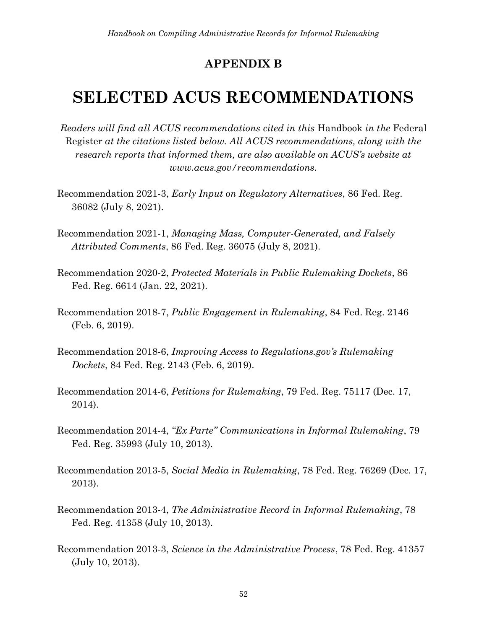#### **APPENDIX B**

# <span id="page-59-0"></span>**SELECTED ACUS RECOMMENDATIONS**

*Readers will find all ACUS recommendations cited in this* Handbook *in the* Federal Register *at the citations listed below. All ACUS recommendations, along with the research reports that informed them, are also available on ACUS's website at www.acus.gov/recommendations.*

- Recommendation 2021-3, *Early Input on Regulatory Alternatives*, 86 Fed. Reg. 36082 (July 8, 2021).
- Recommendation 2021-1, *Managing Mass, Computer-Generated, and Falsely Attributed Comments*, 86 Fed. Reg. 36075 (July 8, 2021).
- Recommendation 2020-2, *Protected Materials in Public Rulemaking Dockets*, 86 Fed. Reg. 6614 (Jan. 22, 2021).
- Recommendation 2018-7, *Public Engagement in Rulemaking*, 84 Fed. Reg. 2146 (Feb. 6, 2019).
- Recommendation 2018-6, *Improving Access to Regulations.gov's Rulemaking Dockets*, 84 Fed. Reg. 2143 (Feb. 6, 2019).
- Recommendation 2014-6, *Petitions for Rulemaking*, 79 Fed. Reg. 75117 (Dec. 17, 2014).
- Recommendation 2014-4, *"Ex Parte" Communications in Informal Rulemaking*, 79 Fed. Reg. 35993 (July 10, 2013).
- Recommendation 2013-5, *Social Media in Rulemaking*, 78 Fed. Reg. 76269 (Dec. 17, 2013).
- Recommendation 2013-4, *The Administrative Record in Informal Rulemaking*, 78 Fed. Reg. 41358 (July 10, 2013).
- Recommendation 2013-3, *Science in the Administrative Process*, 78 Fed. Reg. 41357 (July 10, 2013).